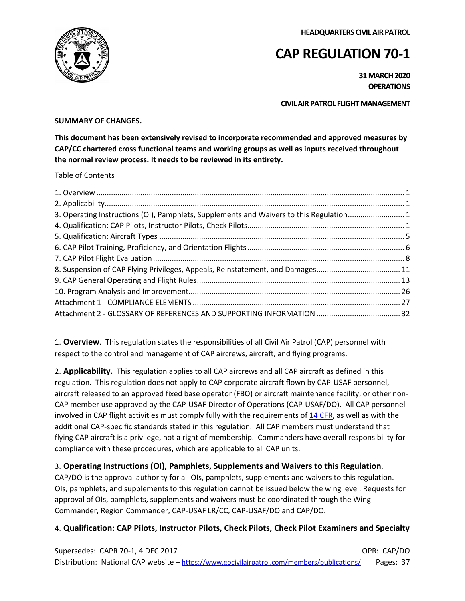**HEADQUARTERS CIVIL AIR PATROL**



# **CAP REGULATION 70-1**

**31 MARCH 2020 OPERATIONS**

**CIVIL AIR PATROL FLIGHT MANAGEMENT**

# **SUMMARY OF CHANGES.**

**This document has been extensively revised to incorporate recommended and approved measures by CAP/CC chartered cross functional teams and working groups as well as inputs received throughout the normal review process. It needs to be reviewed in its entirety.**

Table of Contents

| 3. Operating Instructions (OI), Pamphlets, Supplements and Waivers to this Regulation1 |  |
|----------------------------------------------------------------------------------------|--|
|                                                                                        |  |
|                                                                                        |  |
|                                                                                        |  |
|                                                                                        |  |
| 8. Suspension of CAP Flying Privileges, Appeals, Reinstatement, and Damages11          |  |
|                                                                                        |  |
|                                                                                        |  |
|                                                                                        |  |
|                                                                                        |  |

<span id="page-0-0"></span>1. **Overview**. This regulation states the responsibilities of all Civil Air Patrol (CAP) personnel with respect to the control and management of CAP aircrews, aircraft, and flying programs.

<span id="page-0-1"></span>2. **Applicability.** This regulation applies to all CAP aircrews and all CAP aircraft as defined in this regulation. This regulation does not apply to CAP corporate aircraft flown by CAP-USAF personnel, aircraft released to an approved fixed base operator (FBO) or aircraft maintenance facility, or other non-CAP member use approved by the CAP-USAF Director of Operations (CAP-USAF/DO). All CAP personnel involved in CAP flight activities must comply fully with the requirements o[f 14 CFR,](http://www.ecfr.gov/cgi-bin/text-idx?c=ecfr&tpl=/ecfrbrowse/Title14/14tab_02.tpl) as well as with the additional CAP-specific standards stated in this regulation. All CAP members must understand that flying CAP aircraft is a privilege, not a right of membership. Commanders have overall responsibility for compliance with these procedures, which are applicable to all CAP units.

# <span id="page-0-2"></span>3. **Operating Instructions (OI), Pamphlets, Supplements and Waivers to this Regulation**.

CAP/DO is the approval authority for all OIs, pamphlets, supplements and waivers to this regulation. OIs, pamphlets, and supplements to this regulation cannot be issued below the wing level. Requests for approval of OIs, pamphlets, supplements and waivers must be coordinated through the Wing Commander, Region Commander, CAP-USAF LR/CC, CAP-USAF/DO and CAP/DO.

# <span id="page-0-3"></span>4. **Qualification: CAP Pilots, Instructor Pilots, Check Pilots, Check Pilot Examiners and Specialty**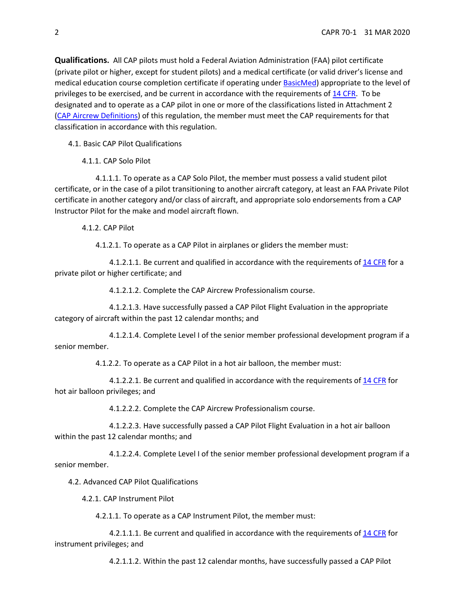**Qualifications.** All CAP pilots must hold a Federal Aviation Administration (FAA) pilot certificate (private pilot or higher, except for student pilots) and a medical certificate (or valid driver's license and medical education course completion certificate if operating under [BasicMed\)](https://www.faa.gov/licenses_certificates/airmen_certification/basic_med/) appropriate to the level of privileges to be exercised, and be current in accordance with the requirements of [14 CFR.](http://www.ecfr.gov/cgi-bin/text-idx?c=ecfr&tpl=/ecfrbrowse/Title14/14tab_02.tpl) To be designated and to operate as a CAP pilot in one or more of the classifications listed in Attachment 2 [\(CAP Aircrew Definitions\)](#page-34-0) of this regulation, the member must meet the CAP requirements for that classification in accordance with this regulation.

4.1. Basic CAP Pilot Qualifications

4.1.1. CAP Solo Pilot

4.1.1.1. To operate as a CAP Solo Pilot, the member must possess a valid student pilot certificate, or in the case of a pilot transitioning to another aircraft category, at least an FAA Private Pilot certificate in another category and/or class of aircraft, and appropriate solo endorsements from a CAP Instructor Pilot for the make and model aircraft flown.

4.1.2. CAP Pilot

4.1.2.1. To operate as a CAP Pilot in airplanes or gliders the member must:

4.1.2.1.1. Be current and qualified in accordance with the requirements of [14 CFR](http://www.ecfr.gov/cgi-bin/text-idx?c=ecfr&tpl=/ecfrbrowse/Title14/14tab_02.tpl) for a private pilot or higher certificate; and

4.1.2.1.2. Complete the CAP Aircrew Professionalism course.

4.1.2.1.3. Have successfully passed a CAP Pilot Flight Evaluation in the appropriate category of aircraft within the past 12 calendar months; and

4.1.2.1.4. Complete Level I of the senior member professional development program if a senior member.

4.1.2.2. To operate as a CAP Pilot in a hot air balloon, the member must:

4.1.2.2.1. Be current and qualified in accordance with the requirements of [14 CFR](http://www.ecfr.gov/cgi-bin/text-idx?c=ecfr&tpl=/ecfrbrowse/Title14/14tab_02.tpl) for hot air balloon privileges; and

4.1.2.2.2. Complete the CAP Aircrew Professionalism course.

4.1.2.2.3. Have successfully passed a CAP Pilot Flight Evaluation in a hot air balloon within the past 12 calendar months; and

4.1.2.2.4. Complete Level I of the senior member professional development program if a senior member.

4.2. Advanced CAP Pilot Qualifications

4.2.1. CAP Instrument Pilot

4.2.1.1. To operate as a CAP Instrument Pilot, the member must:

4.2.1.1.1. Be current and qualified in accordance with the requirements of [14 CFR](http://www.ecfr.gov/cgi-bin/text-idx?c=ecfr&tpl=/ecfrbrowse/Title14/14tab_02.tpl) for instrument privileges; and

4.2.1.1.2. Within the past 12 calendar months, have successfully passed a CAP Pilot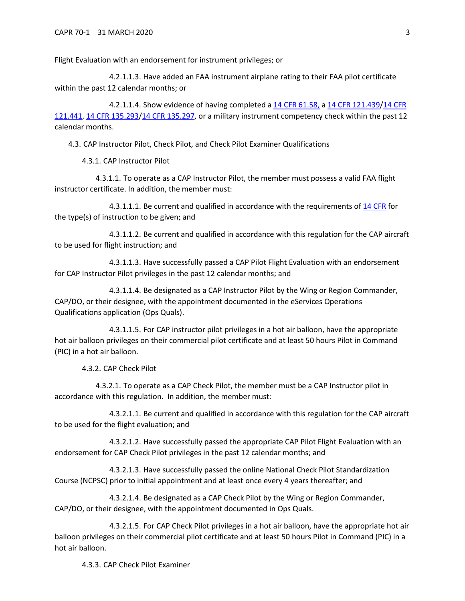Flight Evaluation with an endorsement for instrument privileges; or

4.2.1.1.3. Have added an FAA instrument airplane rating to their FAA pilot certificate within the past 12 calendar months; or

4.2.1.1.4. Show evidence of having completed a [14 CFR 61.58,](http://www.ecfr.gov/cgi-bin/text-idx?c=ecfr&sid=40760189a03dfea0b501608f33820a45&rgn=div5&view=text&node=14:2.0.1.1.2&idno=14#se14.2.61_158) a [14 CFR 121.439/](http://www.ecfr.gov/cgi-bin/text-idx?SID=d73630c7e8c409039c33fbeb4735831d&mc=true&node=se14.3.121_1439&rgn=div8)[14 CFR](http://www.ecfr.gov/cgi-bin/text-idx?SID=d73630c7e8c409039c33fbeb4735831d&mc=true&node=se14.3.121_1441&rgn=div8)  [121.441,](http://www.ecfr.gov/cgi-bin/text-idx?SID=d73630c7e8c409039c33fbeb4735831d&mc=true&node=se14.3.121_1441&rgn=div8) [14 CFR 135.293/](http://www.ecfr.gov/cgi-bin/text-idx?SID=d73630c7e8c409039c33fbeb4735831d&mc=true&node=pt14.3.135&rgn=div5#se14.3.135_1293)[14 CFR 135.297,](http://www.ecfr.gov/cgi-bin/text-idx?SID=d73630c7e8c409039c33fbeb4735831d&mc=true&node=pt14.3.135&rgn=div5#se14.3.135_1297) or a military instrument competency check within the past 12 calendar months.

4.3. CAP Instructor Pilot, Check Pilot, and Check Pilot Examiner Qualifications

4.3.1. CAP Instructor Pilot

4.3.1.1. To operate as a CAP Instructor Pilot, the member must possess a valid FAA flight instructor certificate. In addition, the member must:

4.3.1.1.1. Be current and qualified in accordance with the requirements of [14 CFR](http://www.ecfr.gov/cgi-bin/text-idx?c=ecfr&tpl=/ecfrbrowse/Title14/14tab_02.tpl) for the type(s) of instruction to be given; and

4.3.1.1.2. Be current and qualified in accordance with this regulation for the CAP aircraft to be used for flight instruction; and

4.3.1.1.3. Have successfully passed a CAP Pilot Flight Evaluation with an endorsement for CAP Instructor Pilot privileges in the past 12 calendar months; and

4.3.1.1.4. Be designated as a CAP Instructor Pilot by the Wing or Region Commander, CAP/DO, or their designee, with the appointment documented in the eServices Operations Qualifications application (Ops Quals).

4.3.1.1.5. For CAP instructor pilot privileges in a hot air balloon, have the appropriate hot air balloon privileges on their commercial pilot certificate and at least 50 hours Pilot in Command (PIC) in a hot air balloon.

4.3.2. CAP Check Pilot

4.3.2.1. To operate as a CAP Check Pilot, the member must be a CAP Instructor pilot in accordance with this regulation. In addition, the member must:

4.3.2.1.1. Be current and qualified in accordance with this regulation for the CAP aircraft to be used for the flight evaluation; and

4.3.2.1.2. Have successfully passed the appropriate CAP Pilot Flight Evaluation with an endorsement for CAP Check Pilot privileges in the past 12 calendar months; and

4.3.2.1.3. Have successfully passed the [online National Check Pilot Standardization](https://www.capnhq.gov/CAP.LMS.Web/Course/course_lessons.aspx?c=190)  [Course \(NCPSC\)](https://www.capnhq.gov/CAP.LMS.Web/Course/course_lessons.aspx?c=190) prior to initial appointment and at least once every 4 years thereafter; and

4.3.2.1.4. Be designated as a CAP Check Pilot by the Wing or Region Commander, CAP/DO, or their designee, with the appointment documented in Ops Quals.

4.3.2.1.5. For CAP Check Pilot privileges in a hot air balloon, have the appropriate hot air balloon privileges on their commercial pilot certificate and at least 50 hours Pilot in Command (PIC) in a hot air balloon.

4.3.3. CAP Check Pilot Examiner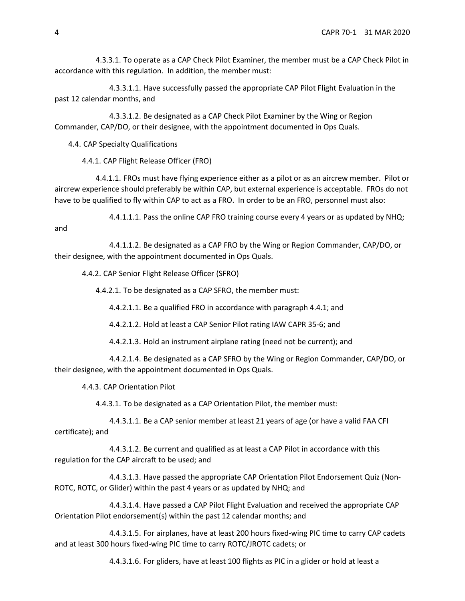4.3.3.1. To operate as a CAP Check Pilot Examiner, the member must be a CAP Check Pilot in accordance with this regulation. In addition, the member must:

4.3.3.1.1. Have successfully passed the appropriate CAP Pilot Flight Evaluation in the past 12 calendar months, and

4.3.3.1.2. Be designated as a CAP Check Pilot Examiner by the Wing or Region Commander, CAP/DO, or their designee, with the appointment documented in Ops Quals.

4.4. CAP Specialty Qualifications

4.4.1. CAP Flight Release Officer (FRO)

<span id="page-3-0"></span>4.4.1.1. FROs must have flying experience either as a pilot or as an aircrew member. Pilot or aircrew experience should preferably be within CAP, but external experience is acceptable. FROs do not have to be qualified to fly within CAP to act as a FRO. In order to be an FRO, personnel must also:

4.4.1.1.1. Pass the online CAP FRO training course every 4 years or as updated by NHQ;

and

4.4.1.1.2. Be designated as a CAP FRO by the Wing or Region Commander, CAP/DO, or their designee, with the appointment documented in Ops Quals.

4.4.2. CAP Senior Flight Release Officer (SFRO)

4.4.2.1. To be designated as a CAP SFRO, the member must:

4.4.2.1.1. Be a qualified FRO in accordance with paragraph [4.4.1;](#page-3-0) and

4.4.2.1.2. Hold at least a CAP Senior Pilot rating IAW CAPR 35-6; and

4.4.2.1.3. Hold an instrument airplane rating (need not be current); and

4.4.2.1.4. Be designated as a CAP SFRO by the Wing or Region Commander, CAP/DO, or their designee, with the appointment documented in Ops Quals.

4.4.3. CAP Orientation Pilot

4.4.3.1. To be designated as a CAP Orientation Pilot, the member must:

4.4.3.1.1. Be a CAP senior member at least 21 years of age (or have a valid FAA CFI certificate); and

4.4.3.1.2. Be current and qualified as at least a CAP Pilot in accordance with this regulation for the CAP aircraft to be used; and

4.4.3.1.3. Have passed the appropriate CAP Orientation Pilot Endorsement Quiz (Non-ROTC, ROTC, or Glider) within the past 4 years or as updated by NHQ; and

4.4.3.1.4. Have passed a CAP Pilot Flight Evaluation and received the appropriate CAP Orientation Pilot endorsement(s) within the past 12 calendar months; and

4.4.3.1.5. For airplanes, have at least 200 hours fixed-wing PIC time to carry CAP cadets and at least 300 hours fixed-wing PIC time to carry ROTC/JROTC cadets; or

4.4.3.1.6. For gliders, have at least 100 flights as PIC in a glider or hold at least a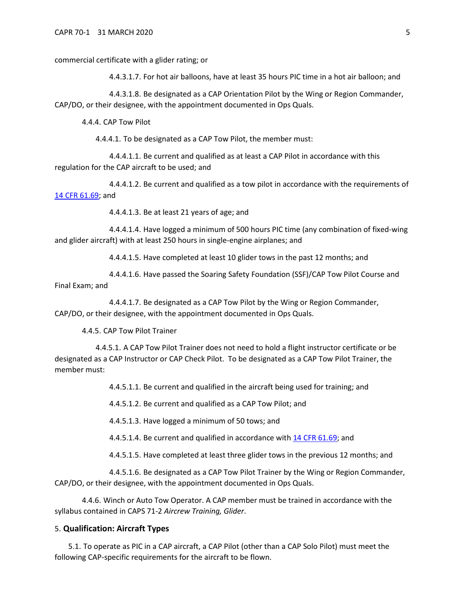commercial certificate with a glider rating; or

4.4.3.1.7. For hot air balloons, have at least 35 hours PIC time in a hot air balloon; and

4.4.3.1.8. Be designated as a CAP Orientation Pilot by the Wing or Region Commander, CAP/DO, or their designee, with the appointment documented in Ops Quals.

4.4.4. CAP Tow Pilot

4.4.4.1. To be designated as a CAP Tow Pilot, the member must:

4.4.4.1.1. Be current and qualified as at least a CAP Pilot in accordance with this regulation for the CAP aircraft to be used; and

4.4.4.1.2. Be current and qualified as a tow pilot in accordance with the requirements of [14 CFR 61.69;](http://www.ecfr.gov/cgi-bin/text-idx?c=ecfr&sid=40760189a03dfea0b501608f33820a45&rgn=div5&view=text&node=14:2.0.1.1.2&idno=14#se14.2.61_169) and

4.4.4.1.3. Be at least 21 years of age; and

4.4.4.1.4. Have logged a minimum of 500 hours PIC time (any combination of fixed-wing and glider aircraft) with at least 250 hours in single-engine airplanes; and

4.4.4.1.5. Have completed at least 10 glider tows in the past 12 months; and

4.4.4.1.6. Have passed the Soaring Safety Foundation (SSF)/CAP Tow Pilot Course and Final Exam; and

4.4.4.1.7. Be designated as a CAP Tow Pilot by the Wing or Region Commander, CAP/DO, or their designee, with the appointment documented in Ops Quals.

4.4.5. CAP Tow Pilot Trainer

4.4.5.1. A CAP Tow Pilot Trainer does not need to hold a flight instructor certificate or be designated as a CAP Instructor or CAP Check Pilot. To be designated as a CAP Tow Pilot Trainer, the member must:

4.4.5.1.1. Be current and qualified in the aircraft being used for training; and

4.4.5.1.2. Be current and qualified as a CAP Tow Pilot; and

4.4.5.1.3. Have logged a minimum of 50 tows; and

4.4.5.1.4. Be current and qualified in accordance with [14 CFR 61.69;](https://www.ecfr.gov/cgi-bin/retrieveECFR?gp&r=PART&n=14y2.0.1.1.2#se14.2.61_169) and

4.4.5.1.5. Have completed at least three glider tows in the previous 12 months; and

4.4.5.1.6. Be designated as a CAP Tow Pilot Trainer by the Wing or Region Commander, CAP/DO, or their designee, with the appointment documented in Ops Quals.

4.4.6. Winch or Auto Tow Operator. A CAP member must be trained in accordance with the syllabus contained in CAPS 71-2 *Aircrew Training, Glider*.

#### <span id="page-4-0"></span>5. **Qualification: Aircraft Types**

5.1. To operate as PIC in a CAP aircraft, a CAP Pilot (other than a CAP Solo Pilot) must meet the following CAP-specific requirements for the aircraft to be flown.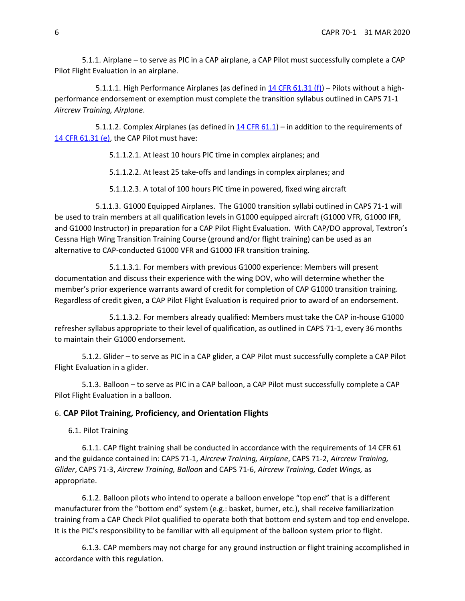5.1.1. Airplane – to serve as PIC in a CAP airplane, a CAP Pilot must successfully complete a CAP Pilot Flight Evaluation in an airplane.

5.1.1.1. High Performance Airplanes (as defined in [14 CFR 61.31 \(f\)\)](https://www.ecfr.gov/cgi-bin/retrieveECFR?gp&SID=257acc4699ee7253af775fc7e9492e51&r=PART&n=14y2.0.1.1.2#se14.2.61_131) – Pilots without a highperformance endorsement or exemption must complete the transition syllabus outlined in CAPS 71-1 *Aircrew Training, Airplane*.

5.1.1.2. Complex Airplanes (as defined in  $14$  CFR 61.1) – in addition to the requirements of [14 CFR 61.31 \(e\),](https://www.ecfr.gov/cgi-bin/retrieveECFR?gp&SID=257acc4699ee7253af775fc7e9492e51&r=PART&n=14y2.0.1.1.2#se14.2.61_131) the CAP Pilot must have:

5.1.1.2.1. At least 10 hours PIC time in complex airplanes; and

5.1.1.2.2. At least 25 take-offs and landings in complex airplanes; and

5.1.1.2.3. A total of 100 hours PIC time in powered, fixed wing aircraft

5.1.1.3. G1000 Equipped Airplanes. The G1000 transition syllabi outlined in CAPS 71-1 will be used to train members at all qualification levels in G1000 equipped aircraft (G1000 VFR, G1000 IFR, and G1000 Instructor) in preparation for a CAP Pilot Flight Evaluation. With CAP/DO approval, Textron's Cessna High Wing Transition Training Course (ground and/or flight training) can be used as an alternative to CAP-conducted G1000 VFR and G1000 IFR transition training.

5.1.1.3.1. For members with previous G1000 experience: Members will present documentation and discuss their experience with the wing DOV, who will determine whether the member's prior experience warrants award of credit for completion of CAP G1000 transition training. Regardless of credit given, a CAP Pilot Flight Evaluation is required prior to award of an endorsement.

5.1.1.3.2. For members already qualified: Members must take the CAP in-house G1000 refresher syllabus appropriate to their level of qualification, as outlined in CAPS 71-1, every 36 months to maintain their G1000 endorsement.

5.1.2. Glider – to serve as PIC in a CAP glider, a CAP Pilot must successfully complete a CAP Pilot Flight Evaluation in a glider.

5.1.3. Balloon – to serve as PIC in a CAP balloon, a CAP Pilot must successfully complete a CAP Pilot Flight Evaluation in a balloon.

# <span id="page-5-0"></span>6. **CAP Pilot Training, Proficiency, and Orientation Flights**

6.1. Pilot Training

6.1.1. CAP flight training shall be conducted in accordance with the requirements of 14 CFR 61 and the guidance contained in: CAPS 71-1, *Aircrew Training, Airplane*, CAPS 71-2, *Aircrew Training, Glider*, CAPS 71-3, *Aircrew Training, Balloon* and CAPS 71-6, *Aircrew Training, Cadet Wings,* as appropriate.

6.1.2. Balloon pilots who intend to operate a balloon envelope "top end" that is a different manufacturer from the "bottom end" system (e.g.: basket, burner, etc.), shall receive familiarization training from a CAP Check Pilot qualified to operate both that bottom end system and top end envelope. It is the PIC's responsibility to be familiar with all equipment of the balloon system prior to flight.

6.1.3. CAP members may not charge for any ground instruction or flight training accomplished in accordance with this regulation.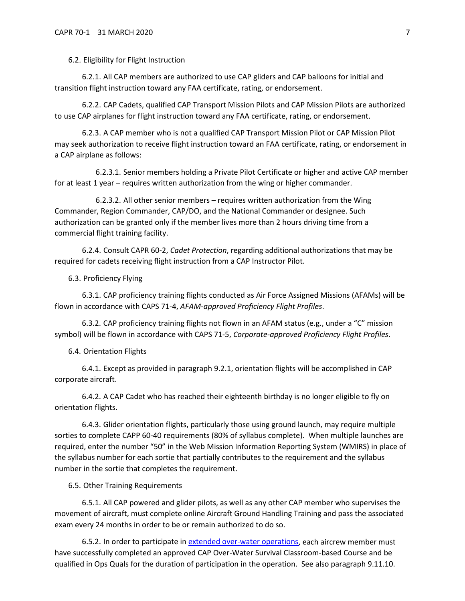6.2. Eligibility for Flight Instruction

6.2.1. All CAP members are authorized to use CAP gliders and CAP balloons for initial and transition flight instruction toward any FAA certificate, rating, or endorsement.

6.2.2. CAP Cadets, qualified CAP Transport Mission Pilots and CAP Mission Pilots are authorized to use CAP airplanes for flight instruction toward any FAA certificate, rating, or endorsement.

6.2.3. A CAP member who is not a qualified CAP Transport Mission Pilot or CAP Mission Pilot may seek authorization to receive flight instruction toward an FAA certificate, rating, or endorsement in a CAP airplane as follows:

6.2.3.1. Senior members holding a Private Pilot Certificate or higher and active CAP member for at least 1 year – requires written authorization from the wing or higher commander.

6.2.3.2. All other senior members – requires written authorization from the Wing Commander, Region Commander, CAP/DO, and the National Commander or designee. Such authorization can be granted only if the member lives more than 2 hours driving time from a commercial flight training facility.

6.2.4. Consult CAPR 60-2, *Cadet Protection*, regarding additional authorizations that may be required for cadets receiving flight instruction from a CAP Instructor Pilot.

6.3. Proficiency Flying

6.3.1. CAP proficiency training flights conducted as Air Force Assigned Missions (AFAMs) will be flown in accordance with CAPS 71-4, *AFAM-approved Proficiency Flight Profiles*.

6.3.2. CAP proficiency training flights not flown in an AFAM status (e.g., under a "C" mission symbol) will be flown in accordance with CAPS 71-5, *Corporate-approved Proficiency Flight Profiles*.

6.4. Orientation Flights

6.4.1. Except as provided in paragraph [9.2.1,](#page-13-0) orientation flights will be accomplished in CAP corporate aircraft.

6.4.2. A CAP Cadet who has reached their eighteenth birthday is no longer eligible to fly on orientation flights.

6.4.3. Glider orientation flights, particularly those using ground launch, may require multiple sorties to complete CAPP 60-40 requirements (80% of syllabus complete). When multiple launches are required, enter the number "50" in the Web Mission Information Reporting System (WMIRS) in place of the syllabus number for each sortie that partially contributes to the requirement and the syllabus number in the sortie that completes the requirement.

6.5. Other Training Requirements

6.5.1. All CAP powered and glider pilots, as well as any other CAP member who supervises the movement of aircraft, must complete online Aircraft Ground Handling Training and pass the associated exam every 24 months in order to be or remain authorized to do so.

<span id="page-6-0"></span>6.5.2. In order to participate in [extended over-water operations,](#page-36-0) each aircrew member must have successfully completed an approved CAP Over-Water Survival Classroom-based Course and be qualified in Ops Quals for the duration of participation in the operation. See also paragraph [9.11.10.](#page-24-0)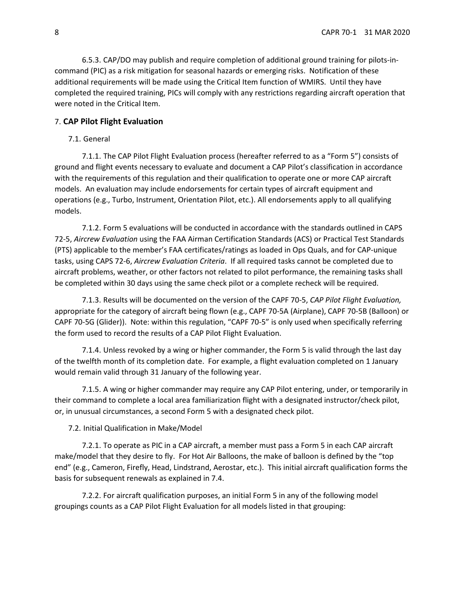6.5.3. CAP/DO may publish and require completion of additional ground training for pilots-incommand (PIC) as a risk mitigation for seasonal hazards or emerging risks. Notification of these additional requirements will be made using the Critical Item function of WMIRS. Until they have completed the required training, PICs will comply with any restrictions regarding aircraft operation that were noted in the Critical Item.

# <span id="page-7-0"></span>7. **CAP Pilot Flight Evaluation**

## 7.1. General

7.1.1. The CAP Pilot Flight Evaluation process (hereafter referred to as a "Form 5") consists of ground and flight events necessary to evaluate and document a CAP Pilot's classification in accordance with the requirements of this regulation and their qualification to operate one or more CAP aircraft models. An evaluation may include endorsements for certain types of aircraft equipment and operations (e.g., Turbo, Instrument, Orientation Pilot, etc.). All endorsements apply to all qualifying models.

7.1.2. Form 5 evaluations will be conducted in accordance with the standards outlined in CAPS 72-5, *Aircrew Evaluation* using the FAA Airman Certification Standards (ACS) or Practical Test Standards (PTS) applicable to the member's FAA certificates/ratings as loaded in Ops Quals, and for CAP-unique tasks, using CAPS 72-6, *Aircrew Evaluation Criteria*. If all required tasks cannot be completed due to aircraft problems, weather, or other factors not related to pilot performance, the remaining tasks shall be completed within 30 days using the same check pilot or a complete recheck will be required.

7.1.3. Results will be documented on the version of the CAPF 70-5, *CAP Pilot Flight Evaluation,* appropriate for the category of aircraft being flown (e.g., CAPF 70-5A (Airplane), CAPF 70-5B (Balloon) or CAPF 70-5G (Glider)). Note: within this regulation, "CAPF 70-5" is only used when specifically referring the form used to record the results of a CAP Pilot Flight Evaluation.

7.1.4. Unless revoked by a wing or higher commander, the Form 5 is valid through the last day of the twelfth month of its completion date. For example, a flight evaluation completed on 1 January would remain valid through 31 January of the following year.

7.1.5. A wing or higher commander may require any CAP Pilot entering, under, or temporarily in their command to complete a local area familiarization flight with a designated instructor/check pilot, or, in unusual circumstances, a second Form 5 with a designated check pilot.

7.2. Initial Qualification in Make/Model

7.2.1. To operate as PIC in a CAP aircraft, a member must pass a Form 5 in each CAP aircraft make/model that they desire to fly. For Hot Air Balloons, the make of balloon is defined by the "top end" (e.g., Cameron, Firefly, Head, Lindstrand, Aerostar, etc.). This initial aircraft qualification forms the basis for subsequent renewals as explained in 7.4.

7.2.2. For aircraft qualification purposes, an initial Form 5 in any of the following model groupings counts as a CAP Pilot Flight Evaluation for all models listed in that grouping: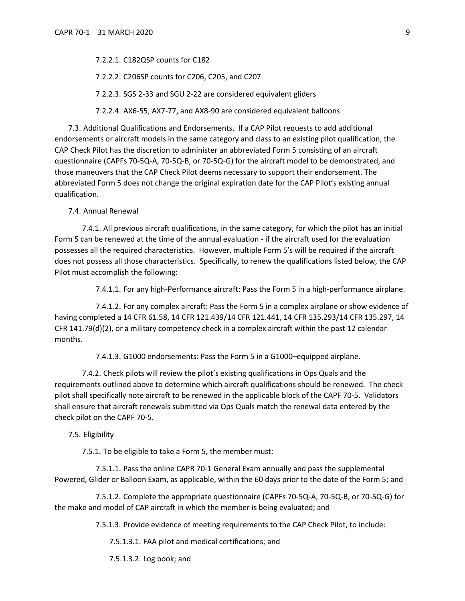7.2.2.1. C182QSP counts for C182

7.2.2.2. C206SP counts for C206, C205, and C207

7.2.2.3. SGS 2-33 and SGU 2-22 are considered equivalent gliders

7.2.2.4. AX6-55, AX7-77, and AX8-90 are considered equivalent balloons

7.3. Additional Qualifications and Endorsements. If a CAP Pilot requests to add additional endorsements or aircraft models in the same category and class to an existing pilot qualification, the CAP Check Pilot has the discretion to administer an abbreviated Form 5 consisting of an aircraft questionnaire (CAPFs 70-5Q-A, 70-5Q-B, or 70-5Q-G) for the aircraft model to be demonstrated, and those maneuvers that the CAP Check Pilot deems necessary to support their endorsement. The abbreviated Form 5 does not change the original expiration date for the CAP Pilot's existing annual qualification.

7.4. Annual Renewal

7.4.1. All previous aircraft qualifications, in the same category, for which the pilot has an initial Form 5 can be renewed at the time of the annual evaluation - if the aircraft used for the evaluation possesses all the required characteristics. However, multiple Form 5's will be required if the aircraft does not possess all those characteristics. Specifically, to renew the qualifications listed below, the CAP Pilot must accomplish the following:

7.4.1.1. For any high-Performance aircraft: Pass the Form 5 in a high-performance airplane.

7.4.1.2. For any complex aircraft: Pass the Form 5 in a complex airplane or show evidence of having completed a 14 CFR 61.58, 14 CFR 121.439/14 CFR 121.441, 14 CFR 135.293/14 CFR 135.297, 14 CFR 141.79(d)(2), or a military competency check in a complex aircraft within the past 12 calendar months.

7.4.1.3. G1000 endorsements: Pass the Form 5 in a G1000–equipped airplane.

<span id="page-8-0"></span>7.4.2. Check pilots will review the pilot's existing qualifications in Ops Quals and the requirements outlined above to determine which aircraft qualifications should be renewed. The check pilot shall specifically note aircraft to be renewed in the applicable block of the CAPF 70-5. Validators shall ensure that aircraft renewals submitted via Ops Quals match the renewal data entered by the check pilot on the CAPF 70-5.

7.5. Eligibility

7.5.1. To be eligible to take a Form 5, the member must:

7.5.1.1. Pass the online CAPR 70-1 General Exam annually and pass the supplemental Powered, Glider or Balloon Exam, as applicable, within the 60 days prior to the date of the Form 5; and

7.5.1.2. Complete the appropriate questionnaire (CAPFs 70-5Q-A, 70-5Q-B, or 70-5Q-G) for the make and model of CAP aircraft in which the member is being evaluated; and

7.5.1.3. Provide evidence of meeting requirements to the CAP Check Pilot, to include:

7.5.1.3.1. FAA pilot and medical certifications; and

7.5.1.3.2. Log book; and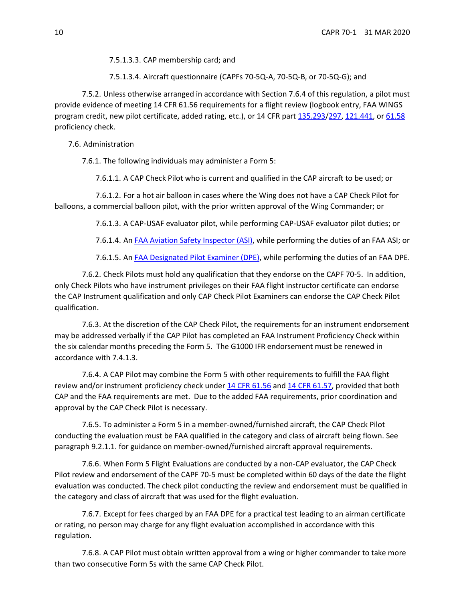7.5.1.3.3. CAP membership card; and

7.5.1.3.4. Aircraft questionnaire (CAPFs 70-5Q-A, 70-5Q-B, or 70-5Q-G); and

7.5.2. Unless otherwise arranged in accordance with Sectio[n 7.6.4](#page-9-0) of this regulation, a pilot must provide evidence of meeting 14 CFR 61.56 requirements for a flight review (logbook entry, FAA WINGS program credit, new pilot certificate, added rating, etc.), or 14 CFR part [135.293/](http://www.ecfr.gov/cgi-bin/text-idx?SID=d73630c7e8c409039c33fbeb4735831d&mc=true&node=pt14.3.135&rgn=div5#se14.3.135_1293)[297,](http://www.ecfr.gov/cgi-bin/text-idx?SID=d73630c7e8c409039c33fbeb4735831d&mc=true&node=pt14.3.135&rgn=div5#se14.3.135_1297) [121.441,](http://www.ecfr.gov/cgi-bin/text-idx?SID=d73630c7e8c409039c33fbeb4735831d&mc=true&node=pt14.3.121&rgn=div5#se14.3.121_1441) o[r 61.58](http://www.ecfr.gov/cgi-bin/text-idx?SID=d73630c7e8c409039c33fbeb4735831d&mc=true&node=pt14.2.61&rgn=div5#se14.2.61_158) proficiency check.

7.6. Administration

7.6.1. The following individuals may administer a Form 5:

7.6.1.1. A CAP Check Pilot who is current and qualified in the CAP aircraft to be used; or

7.6.1.2. For a hot air balloon in cases where the Wing does not have a CAP Check Pilot for balloons, a commercial balloon pilot, with the prior written approval of the Wing Commander; or

7.6.1.3. A CAP-USAF evaluator pilot, while performing CAP-USAF evaluator pilot duties; or

7.6.1.4. An [FAA Aviation Safety Inspector \(ASI\),](https://www.faa.gov/jobs/career_fields/aviation_careers/media/ASI_Fact_Sheet.pdf) while performing the duties of an FAA ASI; or

7.6.1.5. An [FAA Designated Pilot Examiner \(DPE\),](https://www.faa.gov/other_visit/aviation_industry/designees_delegations/designee_types/dpe/) while performing the duties of an FAA DPE.

7.6.2. Check Pilots must hold any qualification that they endorse on the CAPF 70-5. In addition, only Check Pilots who have instrument privileges on their FAA flight instructor certificate can endorse the CAP Instrument qualification and only CAP Check Pilot Examiners can endorse the CAP Check Pilot qualification.

7.6.3. At the discretion of the CAP Check Pilot, the requirements for an instrument endorsement may be addressed verbally if the CAP Pilot has completed an FAA Instrument Proficiency Check within the six calendar months preceding the Form 5. The G1000 IFR endorsement must be renewed in accordance with [7.4.1.3.](#page-8-0)

<span id="page-9-0"></span>7.6.4. A CAP Pilot may combine the Form 5 with other requirements to fulfill the FAA flight review and/or instrument proficiency check under [14 CFR 61.56](https://www.ecfr.gov/cgi-bin/retrieveECFR?gp&r=PART&n=14y2.0.1.1.2#se14.2.61_156) and [14 CFR 61.57,](https://www.ecfr.gov/cgi-bin/retrieveECFR?gp&r=PART&n=14y2.0.1.1.2#se14.2.61_157) provided that both CAP and the FAA requirements are met. Due to the added FAA requirements, prior coordination and approval by the CAP Check Pilot is necessary.

7.6.5. To administer a Form 5 in a member-owned/furnished aircraft, the CAP Check Pilot conducting the evaluation must be FAA qualified in the category and class of aircraft being flown. See paragraph 9.2.1.1. for guidance on member-owned/furnished aircraft approval requirements.

7.6.6. When Form 5 Flight Evaluations are conducted by a non-CAP evaluator, the CAP Check Pilot review and endorsement of the CAPF 70-5 must be completed within 60 days of the date the flight evaluation was conducted. The check pilot conducting the review and endorsement must be qualified in the category and class of aircraft that was used for the flight evaluation.

7.6.7. Except for fees charged by an FAA DPE for a practical test leading to an airman certificate or rating, no person may charge for any flight evaluation accomplished in accordance with this regulation.

7.6.8. A CAP Pilot must obtain written approval from a wing or higher commander to take more than two consecutive Form 5s with the same CAP Check Pilot.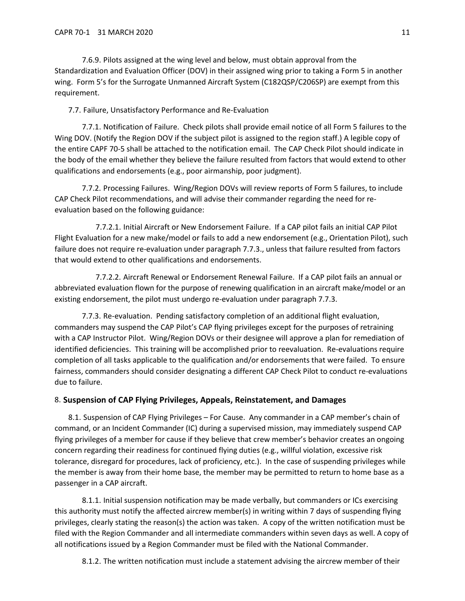7.6.9. Pilots assigned at the wing level and below, must obtain approval from the Standardization and Evaluation Officer (DOV) in their assigned wing prior to taking a Form 5 in another wing. Form 5's for the Surrogate Unmanned Aircraft System (C182QSP/C206SP) are exempt from this requirement.

7.7. Failure, Unsatisfactory Performance and Re-Evaluation

7.7.1. Notification of Failure. Check pilots shall provide email notice of all Form 5 failures to the Wing DOV. (Notify the Region DOV if the subject pilot is assigned to the region staff.) A legible copy of the entire CAPF 70-5 shall be attached to the notification email. The CAP Check Pilot should indicate in the body of the email whether they believe the failure resulted from factors that would extend to other qualifications and endorsements (e.g., poor airmanship, poor judgment).

7.7.2. Processing Failures. Wing/Region DOVs will review reports of Form 5 failures, to include CAP Check Pilot recommendations, and will advise their commander regarding the need for reevaluation based on the following guidance:

7.7.2.1. Initial Aircraft or New Endorsement Failure. If a CAP pilot fails an initial CAP Pilot Flight Evaluation for a new make/model or fails to add a new endorsement (e.g., Orientation Pilot), such failure does not require re-evaluation under paragraph [7.7.3.](#page-10-1), unless that failure resulted from factors that would extend to other qualifications and endorsements.

7.7.2.2. Aircraft Renewal or Endorsement Renewal Failure. If a CAP pilot fails an annual or abbreviated evaluation flown for the purpose of renewing qualification in an aircraft make/model or an existing endorsement, the pilot must undergo re-evaluation under paragraph [7.7.3.](#page-10-1)

<span id="page-10-1"></span>7.7.3. Re-evaluation. Pending satisfactory completion of an additional flight evaluation, commanders may suspend the CAP Pilot's CAP flying privileges except for the purposes of retraining with a CAP Instructor Pilot. Wing/Region DOVs or their designee will approve a plan for remediation of identified deficiencies. This training will be accomplished prior to reevaluation. Re-evaluations require completion of all tasks applicable to the qualification and/or endorsements that were failed. To ensure fairness, commanders should consider designating a different CAP Check Pilot to conduct re-evaluations due to failure.

# <span id="page-10-0"></span>8. **Suspension of CAP Flying Privileges, Appeals, Reinstatement, and Damages**

<span id="page-10-2"></span>8.1. Suspension of CAP Flying Privileges – For Cause. Any commander in a CAP member's chain of command, or an Incident Commander (IC) during a supervised mission, may immediately suspend CAP flying privileges of a member for cause if they believe that crew member's behavior creates an ongoing concern regarding their readiness for continued flying duties (e.g., willful violation, excessive risk tolerance, disregard for procedures, lack of proficiency, etc.). In the case of suspending privileges while the member is away from their home base, the member may be permitted to return to home base as a passenger in a CAP aircraft.

<span id="page-10-3"></span>8.1.1. Initial suspension notification may be made verbally, but commanders or ICs exercising this authority must notify the affected aircrew member(s) in writing within 7 days of suspending flying privileges, clearly stating the reason(s) the action was taken. A copy of the written notification must be filed with the Region Commander and all intermediate commanders within seven days as well. A copy of all notifications issued by a Region Commander must be filed with the National Commander.

<span id="page-10-4"></span>8.1.2. The written notification must include a statement advising the aircrew member of their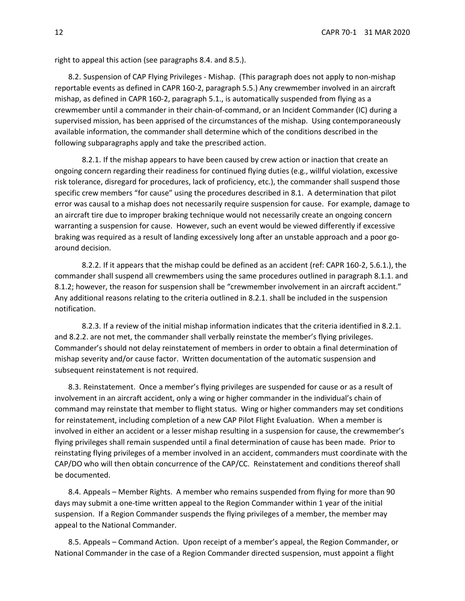right to appeal this action (see paragraphs [8.4.](#page-11-0) an[d 8.5.](#page-11-1)).

8.2. Suspension of CAP Flying Privileges - Mishap. (This paragraph does not apply to non-mishap reportable events as defined in CAPR 160-2, paragraph 5.5.) Any crewmember involved in an aircraft mishap, as defined in CAPR 160-2, paragraph 5.1., is automatically suspended from flying as a crewmember until a commander in their chain-of-command, or an Incident Commander (IC) during a supervised mission, has been apprised of the circumstances of the mishap. Using contemporaneously available information, the commander shall determine which of the conditions described in the following subparagraphs apply and take the prescribed action.

<span id="page-11-2"></span>8.2.1. If the mishap appears to have been caused by crew action or inaction that create an ongoing concern regarding their readiness for continued flying duties (e.g., willful violation, excessive risk tolerance, disregard for procedures, lack of proficiency, etc.), the commander shall suspend those specific crew members "for cause" using the procedures described in [8.1.](#page-10-2) A determination that pilot error was causal to a mishap does not necessarily require suspension for cause. For example, damage to an aircraft tire due to improper braking technique would not necessarily create an ongoing concern warranting a suspension for cause. However, such an event would be viewed differently if excessive braking was required as a result of landing excessively long after an unstable approach and a poor goaround decision.

<span id="page-11-3"></span>8.2.2. If it appears that the mishap could be defined as an accident (ref: CAPR 160-2, 5.6.1.), the commander shall suspend all crewmembers using the same procedures outlined in paragraph [8.1.1.](#page-10-3) and [8.1.2;](#page-10-4) however, the reason for suspension shall be "crewmember involvement in an aircraft accident." Any additional reasons relating to the criteria outlined in [8.2.1.](#page-11-2) shall be included in the suspension notification.

8.2.3. If a review of the initial mishap information indicates that the criteria identified in [8.2.1.](#page-11-2) and [8.2.2.](#page-11-3) are not met, the commander shall verbally reinstate the member's flying privileges. Commander's should not delay reinstatement of members in order to obtain a final determination of mishap severity and/or cause factor. Written documentation of the automatic suspension and subsequent reinstatement is not required.

8.3. Reinstatement. Once a member's flying privileges are suspended for cause or as a result of involvement in an aircraft accident, only a wing or higher commander in the individual's chain of command may reinstate that member to flight status. Wing or higher commanders may set conditions for reinstatement, including completion of a new CAP Pilot Flight Evaluation. When a member is involved in either an accident or a lesser mishap resulting in a suspension for cause, the crewmember's flying privileges shall remain suspended until a final determination of cause has been made. Prior to reinstating flying privileges of a member involved in an accident, commanders must coordinate with the CAP/DO who will then obtain concurrence of the CAP/CC. Reinstatement and conditions thereof shall be documented.

<span id="page-11-0"></span>8.4. Appeals – Member Rights. A member who remains suspended from flying for more than 90 days may submit a one-time written appeal to the Region Commander within 1 year of the initial suspension. If a Region Commander suspends the flying privileges of a member, the member may appeal to the National Commander.

<span id="page-11-1"></span>8.5. Appeals – Command Action. Upon receipt of a member's appeal, the Region Commander, or National Commander in the case of a Region Commander directed suspension, must appoint a flight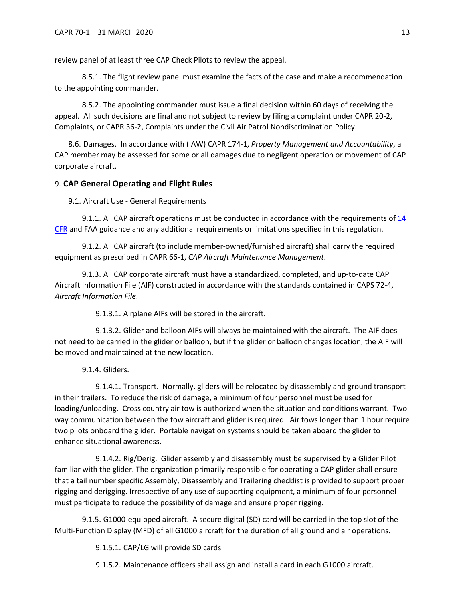review panel of at least three CAP Check Pilots to review the appeal.

8.5.1. The flight review panel must examine the facts of the case and make a recommendation to the appointing commander.

8.5.2. The appointing commander must issue a final decision within 60 days of receiving the appeal. All such decisions are final and not subject to review by filing a complaint under CAPR 20-2, Complaints, or CAPR 36-2, Complaints under the Civil Air Patrol Nondiscrimination Policy.

8.6. Damages. In accordance with (IAW) CAPR 174-1, *Property Management and Accountability*, a CAP member may be assessed for some or all damages due to negligent operation or movement of CAP corporate aircraft.

# <span id="page-12-0"></span>9. **CAP General Operating and Flight Rules**

9.1. Aircraft Use - General Requirements

9.1.1. All CAP aircraft operations must be conducted in accordance with the requirements of 14 [CFR](https://www.ecfr.gov/cgi-bin/text-idx?gp=&SID=&mc=true&tpl=/ecfrbrowse/Title14/14tab_02.tpl) and FAA guidance and any additional requirements or limitations specified in this regulation.

9.1.2. All CAP aircraft (to include member-owned/furnished aircraft) shall carry the required equipment as prescribed in CAPR 66-1, *CAP Aircraft Maintenance Management*.

9.1.3. All CAP corporate aircraft must have a standardized, completed, and up-to-date CAP Aircraft Information File (AIF) constructed in accordance with the standards contained in CAPS 72-4, *Aircraft Information File*.

9.1.3.1. Airplane AIFs will be stored in the aircraft.

9.1.3.2. Glider and balloon AIFs will always be maintained with the aircraft. The AIF does not need to be carried in the glider or balloon, but if the glider or balloon changes location, the AIF will be moved and maintained at the new location.

9.1.4. Gliders.

9.1.4.1. Transport. Normally, gliders will be relocated by disassembly and ground transport in their trailers. To reduce the risk of damage, a minimum of four personnel must be used for loading/unloading. Cross country air tow is authorized when the situation and conditions warrant. Twoway communication between the tow aircraft and glider is required. Air tows longer than 1 hour require two pilots onboard the glider. Portable navigation systems should be taken aboard the glider to enhance situational awareness.

9.1.4.2. Rig/Derig. Glider assembly and disassembly must be supervised by a Glider Pilot familiar with the glider. The organization primarily responsible for operating a CAP glider shall ensure that a tail number specific Assembly, Disassembly and Trailering checklist is provided to support proper rigging and derigging. Irrespective of any use of supporting equipment, a minimum of four personnel must participate to reduce the possibility of damage and ensure proper rigging.

9.1.5. G1000-equipped aircraft. A secure digital (SD) card will be carried in the top slot of the Multi-Function Display (MFD) of all G1000 aircraft for the duration of all ground and air operations.

9.1.5.1. CAP/LG will provide SD cards

9.1.5.2. Maintenance officers shall assign and install a card in each G1000 aircraft.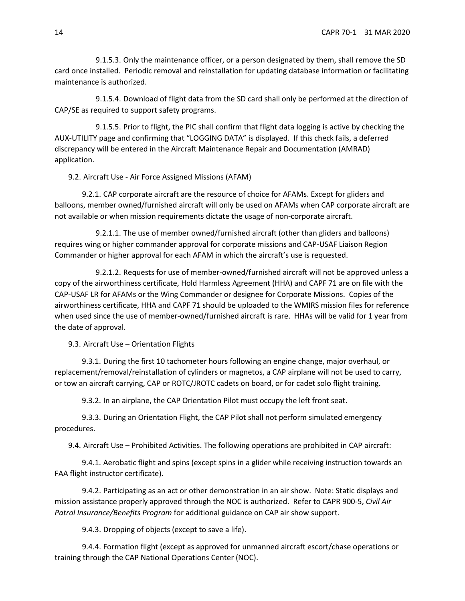9.1.5.3. Only the maintenance officer, or a person designated by them, shall remove the SD card once installed. Periodic removal and reinstallation for updating database information or facilitating maintenance is authorized.

9.1.5.4. Download of flight data from the SD card shall only be performed at the direction of CAP/SE as required to support safety programs.

9.1.5.5. Prior to flight, the PIC shall confirm that flight data logging is active by checking the AUX-UTILITY page and confirming that "LOGGING DATA" is displayed. If this check fails, a deferred discrepancy will be entered in the Aircraft Maintenance Repair and Documentation (AMRAD) application.

9.2. Aircraft Use - Air Force Assigned Missions (AFAM)

<span id="page-13-0"></span>9.2.1. CAP corporate aircraft are the resource of choice for AFAMs. Except for gliders and balloons, member owned/furnished aircraft will only be used on AFAMs when CAP corporate aircraft are not available or when mission requirements dictate the usage of non-corporate aircraft.

9.2.1.1. The use of member owned/furnished aircraft (other than gliders and balloons) requires wing or higher commander approval for corporate missions and CAP-USAF Liaison Region Commander or higher approval for each AFAM in which the aircraft's use is requested.

9.2.1.2. Requests for use of member-owned/furnished aircraft will not be approved unless a copy of the airworthiness certificate, Hold Harmless Agreement (HHA) and CAPF 71 are on file with the CAP-USAF LR for AFAMs or the Wing Commander or designee for Corporate Missions. Copies of the airworthiness certificate, HHA and CAPF 71 should be uploaded to the WMIRS mission files for reference when used since the use of member-owned/furnished aircraft is rare. HHAs will be valid for 1 year from the date of approval.

9.3. Aircraft Use – Orientation Flights

9.3.1. During the first 10 tachometer hours following an engine change, major overhaul, or replacement/removal/reinstallation of cylinders or magnetos, a CAP airplane will not be used to carry, or tow an aircraft carrying, CAP or ROTC/JROTC cadets on board, or for cadet solo flight training.

9.3.2. In an airplane, the CAP Orientation Pilot must occupy the left front seat.

9.3.3. During an Orientation Flight, the CAP Pilot shall not perform simulated emergency procedures.

9.4. Aircraft Use – Prohibited Activities. The following operations are prohibited in CAP aircraft:

9.4.1. Aerobatic flight and spins (except spins in a glider while receiving instruction towards an FAA flight instructor certificate).

9.4.2. Participating as an act or other demonstration in an air show. Note: Static displays and mission assistance properly approved through the NOC is authorized. Refer to CAPR 900-5, *Civil Air Patrol Insurance/Benefits Program* for additional guidance on CAP air show support.

9.4.3. Dropping of objects (except to save a life).

9.4.4. Formation flight (except as approved for unmanned aircraft escort/chase operations or training through the CAP National Operations Center (NOC).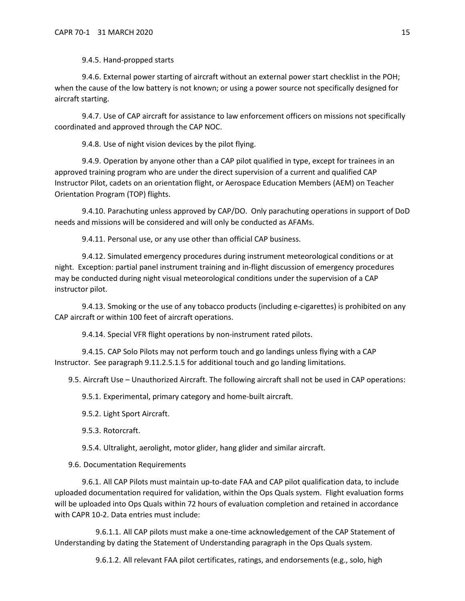9.4.5. Hand-propped starts

9.4.6. External power starting of aircraft without an external power start checklist in the POH; when the cause of the low battery is not known; or using a power source not specifically designed for aircraft starting.

9.4.7. Use of CAP aircraft for assistance to law enforcement officers on missions not specifically coordinated and approved through the CAP NOC.

9.4.8. Use of night vision devices by the pilot flying.

9.4.9. Operation by anyone other than a CAP pilot qualified in type, except for trainees in an approved training program who are under the direct supervision of a current and qualified CAP Instructor Pilot, cadets on an orientation flight, or Aerospace Education Members (AEM) on Teacher Orientation Program (TOP) flights.

9.4.10. Parachuting unless approved by CAP/DO. Only parachuting operations in support of DoD needs and missions will be considered and will only be conducted as AFAMs.

9.4.11. Personal use, or any use other than official CAP business.

9.4.12. Simulated emergency procedures during instrument meteorological conditions or at night. Exception: partial panel instrument training and in-flight discussion of emergency procedures may be conducted during night visual meteorological conditions under the supervision of a CAP instructor pilot.

9.4.13. Smoking or the use of any tobacco products (including e-cigarettes) is prohibited on any CAP aircraft or within 100 feet of aircraft operations.

9.4.14. Special VFR flight operations by non-instrument rated pilots.

9.4.15. CAP Solo Pilots may not perform touch and go landings unless flying with a CAP Instructor. See paragraph [9.11.2.5.1.5](#page-18-0) for additional touch and go landing limitations.

9.5. Aircraft Use – Unauthorized Aircraft. The following aircraft shall not be used in CAP operations:

9.5.1. Experimental, primary category and home-built aircraft.

9.5.2. Light Sport Aircraft.

9.5.3. Rotorcraft.

9.5.4. Ultralight, aerolight, motor glider, hang glider and similar aircraft.

9.6. Documentation Requirements

<span id="page-14-0"></span>9.6.1. All CAP Pilots must maintain up-to-date FAA and CAP pilot qualification data, to include uploaded documentation required for validation, within the Ops Quals system. Flight evaluation forms will be uploaded into Ops Quals within 72 hours of evaluation completion and retained in accordance with CAPR 10-2. Data entries must include:

9.6.1.1. All CAP pilots must make a one-time acknowledgement of the CAP Statement of Understanding by dating the Statement of Understanding paragraph in the Ops Quals system.

9.6.1.2. All relevant FAA pilot certificates, ratings, and endorsements (e.g., solo, high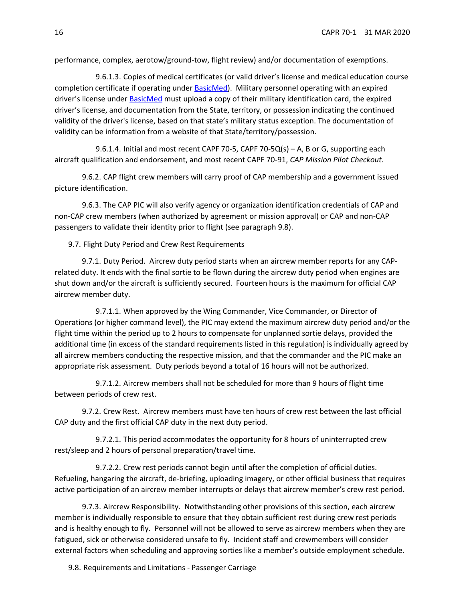performance, complex, aerotow/ground-tow, flight review) and/or documentation of exemptions.

9.6.1.3. Copies of medical certificates (or valid driver's license and medical education course completion certificate if operating under [BasicMed\)](https://www.faa.gov/licenses_certificates/airmen_certification/basic_med/). Military personnel operating with an expired driver's license under [BasicMed](https://www.faa.gov/licenses_certificates/airmen_certification/basic_med/) must upload a copy of their military identification card, the expired driver's license, and documentation from the State, territory, or possession indicating the continued validity of the driver's license, based on that state's military status exception. The documentation of validity can be information from a website of that State/territory/possession.

9.6.1.4. Initial and most recent CAPF 70-5, CAPF 70-5Q(s) - A, B or G, supporting each aircraft qualification and endorsement, and most recent CAPF 70-91, *CAP Mission Pilot Checkout*.

9.6.2. CAP flight crew members will carry proof of CAP membership and a government issued picture identification.

9.6.3. The CAP PIC will also verify agency or organization identification credentials of CAP and non-CAP crew members (when authorized by agreement or mission approval) or CAP and non-CAP passengers to validate their identity prior to flight (see paragraph [9.8\)](#page-15-0).

9.7. Flight Duty Period and Crew Rest Requirements

9.7.1. Duty Period. Aircrew duty period starts when an aircrew member reports for any CAPrelated duty. It ends with the final sortie to be flown during the aircrew duty period when engines are shut down and/or the aircraft is sufficiently secured. Fourteen hours is the maximum for official CAP aircrew member duty.

9.7.1.1. When approved by the Wing Commander, Vice Commander, or Director of Operations (or higher command level), the PIC may extend the maximum aircrew duty period and/or the flight time within the period up to 2 hours to compensate for unplanned sortie delays, provided the additional time (in excess of the standard requirements listed in this regulation) is individually agreed by all aircrew members conducting the respective mission, and that the commander and the PIC make an appropriate risk assessment. Duty periods beyond a total of 16 hours will not be authorized.

9.7.1.2. Aircrew members shall not be scheduled for more than 9 hours of flight time between periods of crew rest.

9.7.2. Crew Rest. Aircrew members must have ten hours of crew rest between the last official CAP duty and the first official CAP duty in the next duty period.

9.7.2.1. This period accommodates the opportunity for 8 hours of uninterrupted crew rest/sleep and 2 hours of personal preparation/travel time.

9.7.2.2. Crew rest periods cannot begin until after the completion of official duties. Refueling, hangaring the aircraft, de-briefing, uploading imagery, or other official business that requires active participation of an aircrew member interrupts or delays that aircrew member's crew rest period.

9.7.3. Aircrew Responsibility. Notwithstanding other provisions of this section, each aircrew member is individually responsible to ensure that they obtain sufficient rest during crew rest periods and is healthy enough to fly. Personnel will not be allowed to serve as aircrew members when they are fatigued, sick or otherwise considered unsafe to fly. Incident staff and crewmembers will consider external factors when scheduling and approving sorties like a member's outside employment schedule.

<span id="page-15-0"></span>9.8. Requirements and Limitations - Passenger Carriage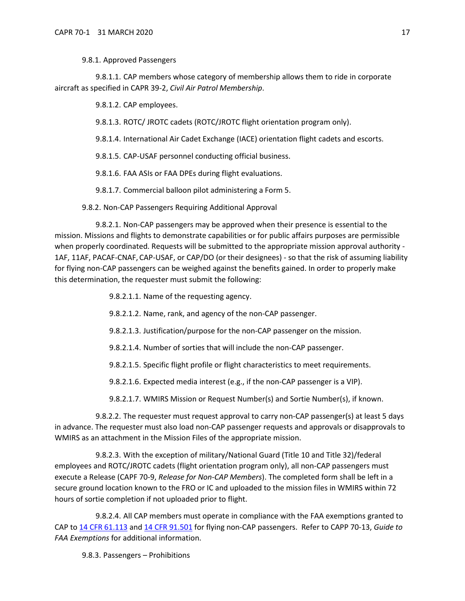# 9.8.1. Approved Passengers

9.8.1.1. CAP members whose category of membership allows them to ride in corporate aircraft as specified in CAPR 39-2, *Civil Air Patrol Membership*.

9.8.1.2. CAP employees.

9.8.1.3. ROTC/ JROTC cadets (ROTC/JROTC flight orientation program only).

9.8.1.4. International Air Cadet Exchange (IACE) orientation flight cadets and escorts.

9.8.1.5. CAP-USAF personnel conducting official business.

9.8.1.6. FAA ASIs or FAA DPEs during flight evaluations.

9.8.1.7. Commercial balloon pilot administering a Form 5.

9.8.2. Non-CAP Passengers Requiring Additional Approval

<span id="page-16-0"></span>9.8.2.1. Non-CAP passengers may be approved when their presence is essential to the mission. Missions and flights to demonstrate capabilities or for public affairs purposes are permissible when properly coordinated. Requests will be submitted to the appropriate mission approval authority -1AF, 11AF, PACAF-CNAF, CAP-USAF, or CAP/DO (or their designees) - so that the risk of assuming liability for flying non-CAP passengers can be weighed against the benefits gained. In order to properly make this determination, the requester must submit the following:

9.8.2.1.1. Name of the requesting agency.

9.8.2.1.2. Name, rank, and agency of the non-CAP passenger.

9.8.2.1.3. Justification/purpose for the non-CAP passenger on the mission.

9.8.2.1.4. Number of sorties that will include the non-CAP passenger.

9.8.2.1.5. Specific flight profile or flight characteristics to meet requirements.

9.8.2.1.6. Expected media interest (e.g., if the non-CAP passenger is a VIP).

9.8.2.1.7. WMIRS Mission or Request Number(s) and Sortie Number(s), if known.

9.8.2.2. The requester must request approval to carry non-CAP passenger(s) at least 5 days in advance. The requester must also load non-CAP passenger requests and approvals or disapprovals to WMIRS as an attachment in the Mission Files of the appropriate mission.

<span id="page-16-1"></span>9.8.2.3. With the exception of military/National Guard (Title 10 and Title 32)/federal employees and ROTC/JROTC cadets (flight orientation program only), all non-CAP passengers must execute a Release [\(CAPF 70-9,](https://www.gocivilairpatrol.com/static/media/cms/F009_F33F1F93F57F0.pdf) *Release for Non-CAP Members*). The completed form shall be left in a secure ground location known to the FRO or IC and uploaded to the mission files in WMIRS within 72 hours of sortie completion if not uploaded prior to flight.

9.8.2.4. All CAP members must operate in compliance with the FAA exemptions granted to CAP to [14 CFR 61.113](http://www.ecfr.gov/cgi-bin/text-idx?c=ecfr&sid=40760189a03dfea0b501608f33820a45&rgn=div5&view=text&node=14:2.0.1.1.2&idno=14#se14.2.61_1113) and [14 CFR 91.501](http://www.ecfr.gov/cgi-bin/text-idx?c=ecfr&sid=3efaad1b0a259d4e48f1150a34d1aa77&rgn=div5&view=text&node=14:2.0.1.3.10&idno=14#se14.2.91_1501) for flying non-CAP passengers. Refer to CAPP 70-13, *Guide to FAA Exemptions* for additional information.

9.8.3. Passengers – Prohibitions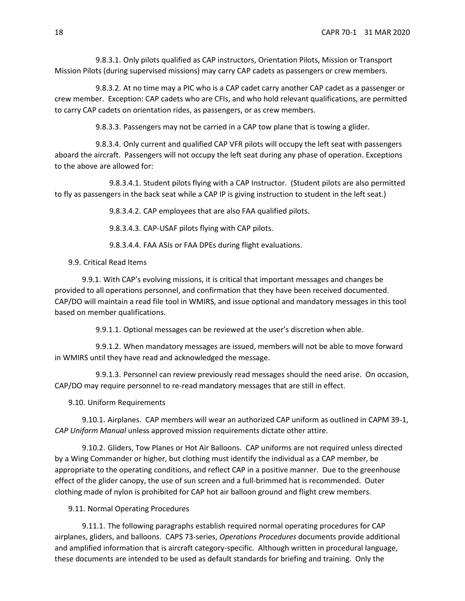9.8.3.1. Only pilots qualified as CAP instructors, Orientation Pilots, Mission or Transport Mission Pilots (during supervised missions) may carry CAP cadets as passengers or crew members.

9.8.3.2. At no time may a PIC who is a CAP cadet carry another CAP cadet as a passenger or crew member. Exception: CAP cadets who are CFIs, and who hold relevant qualifications, are permitted to carry CAP cadets on orientation rides, as passengers, or as crew members.

9.8.3.3. Passengers may not be carried in a CAP tow plane that is towing a glider.

9.8.3.4. Only current and qualified CAP VFR pilots will occupy the left seat with passengers aboard the aircraft. Passengers will not occupy the left seat during any phase of operation. Exceptions to the above are allowed for:

9.8.3.4.1. Student pilots flying with a CAP Instructor. (Student pilots are also permitted to fly as passengers in the back seat while a CAP IP is giving instruction to student in the left seat.)

9.8.3.4.2. CAP employees that are also FAA qualified pilots.

9.8.3.4.3. CAP-USAF pilots flying with CAP pilots.

9.8.3.4.4. FAA ASIs or FAA DPEs during flight evaluations.

## 9.9. Critical Read Items

9.9.1. With CAP's evolving missions, it is critical that important messages and changes be provided to all operations personnel, and confirmation that they have been received documented. CAP/DO will maintain a read file tool in WMIRS, and issue optional and mandatory messages in this tool based on member qualifications.

9.9.1.1. Optional messages can be reviewed at the user's discretion when able.

9.9.1.2. When mandatory messages are issued, members will not be able to move forward in WMIRS until they have read and acknowledged the message.

9.9.1.3. Personnel can review previously read messages should the need arise. On occasion, CAP/DO may require personnel to re-read mandatory messages that are still in effect.

#### 9.10. Uniform Requirements

9.10.1. Airplanes. CAP members will wear an authorized CAP uniform as outlined in CAPM 39-1, *CAP Uniform Manual* unless approved mission requirements dictate other attire.

9.10.2. Gliders, Tow Planes or Hot Air Balloons. CAP uniforms are not required unless directed by a Wing Commander or higher, but clothing must identify the individual as a CAP member, be appropriate to the operating conditions, and reflect CAP in a positive manner. Due to the greenhouse effect of the glider canopy, the use of sun screen and a full-brimmed hat is recommended. Outer clothing made of nylon is prohibited for CAP hot air balloon ground and flight crew members.

# 9.11. Normal Operating Procedures

9.11.1. The following paragraphs establish required normal operating procedures for CAP airplanes, gliders, and balloons. CAPS 73-series, *Operations Procedures* documents provide additional and amplified information that is aircraft category-specific. Although written in procedural language, these documents are intended to be used as default standards for briefing and training. Only the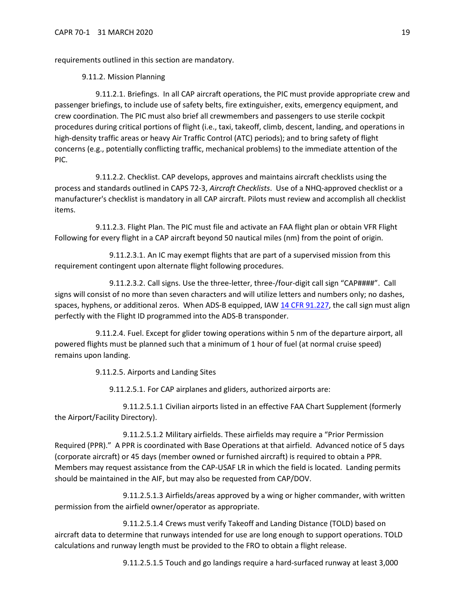requirements outlined in this section are mandatory.

# 9.11.2. Mission Planning

9.11.2.1. Briefings. In all CAP aircraft operations, the PIC must provide appropriate crew and passenger briefings, to include use of safety belts, fire extinguisher, exits, emergency equipment, and crew coordination. The PIC must also brief all crewmembers and passengers to use sterile cockpit procedures during critical portions of flight (i.e., taxi, takeoff, climb, descent, landing, and operations in high-density traffic areas or heavy Air Traffic Control (ATC) periods); and to bring safety of flight concerns (e.g., potentially conflicting traffic, mechanical problems) to the immediate attention of the PIC.

9.11.2.2. Checklist. CAP develops, approves and maintains aircraft checklists using the process and standards outlined in CAPS 72-3, *Aircraft Checklists*. Use of a NHQ-approved checklist or a manufacturer's checklist is mandatory in all CAP aircraft. Pilots must review and accomplish all checklist items.

9.11.2.3. Flight Plan. The PIC must file and activate an FAA flight plan or obtain VFR Flight Following for every flight in a CAP aircraft beyond 50 nautical miles (nm) from the point of origin.

9.11.2.3.1. An IC may exempt flights that are part of a supervised mission from this requirement contingent upon alternate flight following procedures.

<span id="page-18-1"></span>9.11.2.3.2. Call signs. Use the three-letter, three-/four-digit call sign "CAP####". Call signs will consist of no more than seven characters and will utilize letters and numbers only; no dashes, spaces, hyphens, or additional zeros. When ADS-B equipped, IA[W 14 CFR 91.227,](https://www.ecfr.gov/cgi-bin/text-idx?node=14:2.0.1.3.10#se14.2.91_1227) the call sign must align perfectly with the Flight ID programmed into the ADS-B transponder.

9.11.2.4. Fuel. Except for glider towing operations within 5 nm of the departure airport, all powered flights must be planned such that a minimum of 1 hour of fuel (at normal cruise speed) remains upon landing.

9.11.2.5. Airports and Landing Sites

9.11.2.5.1. For CAP airplanes and gliders, authorized airports are:

9.11.2.5.1.1 Civilian airports listed in an effective FAA Chart Supplement (formerly the Airport/Facility Directory).

9.11.2.5.1.2 Military airfields. These airfields may require a "Prior Permission Required (PPR)." A PPR is coordinated with Base Operations at that airfield. Advanced notice of 5 days (corporate aircraft) or 45 days (member owned or furnished aircraft) is required to obtain a PPR. Members may request assistance from the CAP-USAF LR in which the field is located. Landing permits should be maintained in the AIF, but may also be requested from CAP/DOV.

9.11.2.5.1.3 Airfields/areas approved by a wing or higher commander, with written permission from the airfield owner/operator as appropriate.

<span id="page-18-0"></span>9.11.2.5.1.4 Crews must verify Takeoff and Landing Distance (TOLD) based on aircraft data to determine that runways intended for use are long enough to support operations. TOLD calculations and runway length must be provided to the FRO to obtain a flight release.

9.11.2.5.1.5 Touch and go landings require a hard-surfaced runway at least 3,000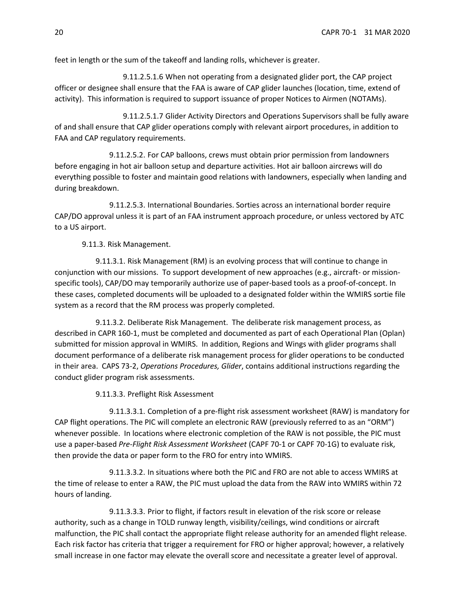feet in length or the sum of the takeoff and landing rolls, whichever is greater.

9.11.2.5.1.6 When not operating from a designated glider port, the CAP project officer or designee shall ensure that the FAA is aware of CAP glider launches (location, time, extend of activity). This information is required to support issuance of proper Notices to Airmen (NOTAMs).

9.11.2.5.1.7 Glider Activity Directors and Operations Supervisors shall be fully aware of and shall ensure that CAP glider operations comply with relevant airport procedures, in addition to FAA and CAP regulatory requirements.

9.11.2.5.2. For CAP balloons, crews must obtain prior permission from landowners before engaging in hot air balloon setup and departure activities. Hot air balloon aircrews will do everything possible to foster and maintain good relations with landowners, especially when landing and during breakdown.

9.11.2.5.3. International Boundaries. Sorties across an international border require CAP/DO approval unless it is part of an FAA instrument approach procedure, or unless vectored by ATC to a US airport.

9.11.3. Risk Management.

9.11.3.1. Risk Management (RM) is an evolving process that will continue to change in conjunction with our missions. To support development of new approaches (e.g., aircraft- or missionspecific tools), CAP/DO may temporarily authorize use of paper-based tools as a proof-of-concept. In these cases, completed documents will be uploaded to a designated folder within the WMIRS sortie file system as a record that the RM process was properly completed.

9.11.3.2. Deliberate Risk Management. The deliberate risk management process, as described in CAPR 160-1, must be completed and documented as part of each Operational Plan (Oplan) submitted for mission approval in WMIRS. In addition, Regions and Wings with glider programs shall document performance of a deliberate risk management process for glider operations to be conducted in their area. CAPS 73-2, *Operations Procedures, Glider*, contains additional instructions regarding the conduct glider program risk assessments.

9.11.3.3. Preflight Risk Assessment

9.11.3.3.1. Completion of a pre-flight risk assessment worksheet (RAW) is mandatory for CAP flight operations. The PIC will complete an electronic RAW (previously referred to as an "ORM") whenever possible. In locations where electronic completion of the RAW is not possible, the PIC must use a paper-based *Pre-Flight Risk Assessment Worksheet* (CAPF 70-1 or CAPF 70-1G) to evaluate risk, then provide the data or paper form to the FRO for entry into WMIRS.

9.11.3.3.2. In situations where both the PIC and FRO are not able to access WMIRS at the time of release to enter a RAW, the PIC must upload the data from the RAW into WMIRS within 72 hours of landing.

9.11.3.3.3. Prior to flight, if factors result in elevation of the risk score or release authority, such as a change in TOLD runway length, visibility/ceilings, wind conditions or aircraft malfunction, the PIC shall contact the appropriate flight release authority for an amended flight release. Each risk factor has criteria that trigger a requirement for FRO or higher approval; however, a relatively small increase in one factor may elevate the overall score and necessitate a greater level of approval.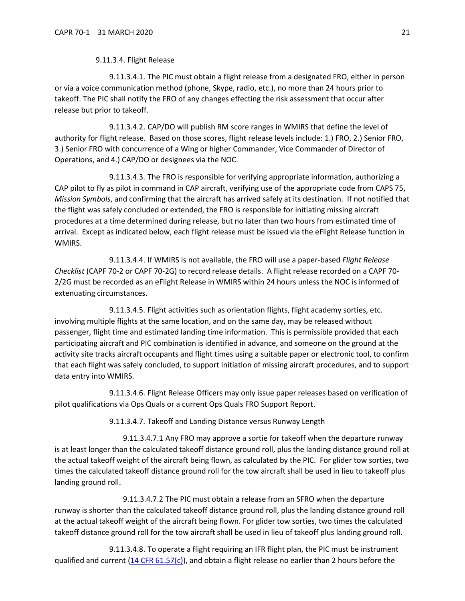#### 9.11.3.4. Flight Release

<span id="page-20-1"></span>9.11.3.4.1. The PIC must obtain a flight release from a designated FRO, either in person or via a voice communication method (phone, Skype, radio, etc.), no more than 24 hours prior to takeoff. The PIC shall notify the FRO of any changes effecting the risk assessment that occur after release but prior to takeoff.

9.11.3.4.2. CAP/DO will publish RM score ranges in WMIRS that define the level of authority for flight release. Based on those scores, flight release levels include: 1.) FRO, 2.) Senior FRO, 3.) Senior FRO with concurrence of a Wing or higher Commander, Vice Commander of Director of Operations, and 4.) CAP/DO or designees via the NOC.

9.11.3.4.3. The FRO is responsible for verifying appropriate information, authorizing a CAP pilot to fly as pilot in command in CAP aircraft, verifying use of the appropriate code from CAPS 75, *Mission Symbols*, and confirming that the aircraft has arrived safely at its destination. If not notified that the flight was safely concluded or extended, the FRO is responsible for initiating missing aircraft procedures at a time determined during release, but no later than two hours from estimated time of arrival. Except as indicated below, each flight release must be issued via the eFlight Release function in WMIRS.

9.11.3.4.4. If WMIRS is not available, the FRO will use a paper-based *Flight Release Checklist* (CAPF 70-2 or CAPF 70-2G) to record release details. A flight release recorded on a CAPF 70- 2/2G must be recorded as an eFlight Release in WMIRS within 24 hours unless the NOC is informed of extenuating circumstances.

9.11.3.4.5. Flight activities such as orientation flights, flight academy sorties, etc. involving multiple flights at the same location, and on the same day, may be released without passenger, flight time and estimated landing time information. This is permissible provided that each participating aircraft and PIC combination is identified in advance, and someone on the ground at the activity site tracks aircraft occupants and flight times using a suitable paper or electronic tool, to confirm that each flight was safely concluded, to support initiation of missing aircraft procedures, and to support data entry into WMIRS.

9.11.3.4.6. Flight Release Officers may only issue paper releases based on verification of pilot qualifications via Ops Quals or a current Ops Quals FRO Support Report.

9.11.3.4.7. Takeoff and Landing Distance versus Runway Length

9.11.3.4.7.1 Any FRO may approve a sortie for takeoff when the departure runway is at least longer than the calculated takeoff distance ground roll, plus the landing distance ground roll at the actual takeoff weight of the aircraft being flown, as calculated by the PIC. For glider tow sorties, two times the calculated takeoff distance ground roll for the tow aircraft shall be used in lieu to takeoff plus landing ground roll.

9.11.3.4.7.2 The PIC must obtain a release from an SFRO when the departure runway is shorter than the calculated takeoff distance ground roll, plus the landing distance ground roll at the actual takeoff weight of the aircraft being flown. For glider tow sorties, two times the calculated takeoff distance ground roll for the tow aircraft shall be used in lieu of takeoff plus landing ground roll.

<span id="page-20-0"></span>9.11.3.4.8. To operate a flight requiring an IFR flight plan, the PIC must be instrument qualified and current  $(14 \text{ CFR } 61.57(c))$ , and obtain a flight release no earlier than 2 hours before the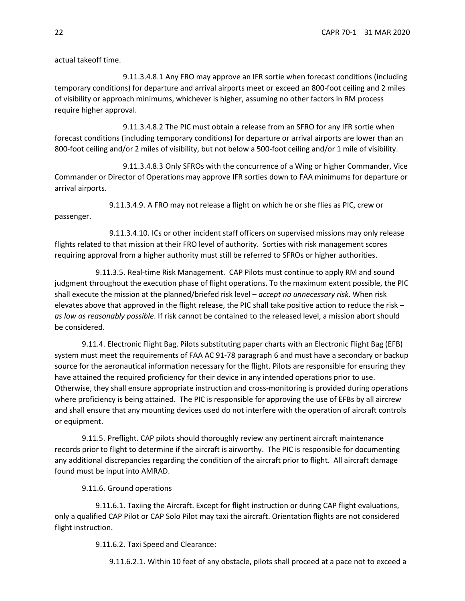actual takeoff time.

9.11.3.4.8.1 Any FRO may approve an IFR sortie when forecast conditions (including temporary conditions) for departure and arrival airports meet or exceed an 800-foot ceiling and 2 miles of visibility or approach minimums, whichever is higher, assuming no other factors in RM process require higher approval.

9.11.3.4.8.2 The PIC must obtain a release from an SFRO for any IFR sortie when forecast conditions (including temporary conditions) for departure or arrival airports are lower than an 800-foot ceiling and/or 2 miles of visibility, but not below a 500-foot ceiling and/or 1 mile of visibility.

9.11.3.4.8.3 Only SFROs with the concurrence of a Wing or higher Commander, Vice Commander or Director of Operations may approve IFR sorties down to FAA minimums for departure or arrival airports.

9.11.3.4.9. A FRO may not release a flight on which he or she flies as PIC, crew or passenger.

9.11.3.4.10. ICs or other incident staff officers on supervised missions may only release flights related to that mission at their FRO level of authority. Sorties with risk management scores requiring approval from a higher authority must still be referred to SFROs or higher authorities.

9.11.3.5. Real-time Risk Management. CAP Pilots must continue to apply RM and sound judgment throughout the execution phase of flight operations. To the maximum extent possible, the PIC shall execute the mission at the planned/briefed risk level – *accept no unnecessary risk*. When risk elevates above that approved in the flight release, the PIC shall take positive action to reduce the risk – *as low as reasonably possible*. If risk cannot be contained to the released level, a mission abort should be considered.

9.11.4. Electronic Flight Bag. Pilots substituting paper charts with an Electronic Flight Bag (EFB) system must meet the requirements of FAA AC 91-78 paragraph 6 and must have a secondary or backup source for the aeronautical information necessary for the flight. Pilots are responsible for ensuring they have attained the required proficiency for their device in any intended operations prior to use. Otherwise, they shall ensure appropriate instruction and cross-monitoring is provided during operations where proficiency is being attained. The PIC is responsible for approving the use of EFBs by all aircrew and shall ensure that any mounting devices used do not interfere with the operation of aircraft controls or equipment.

9.11.5. Preflight. CAP pilots should thoroughly review any pertinent aircraft maintenance records prior to flight to determine if the aircraft is airworthy. The PIC is responsible for documenting any additional discrepancies regarding the condition of the aircraft prior to flight. All aircraft damage found must be input into AMRAD.

9.11.6. Ground operations

9.11.6.1. Taxiing the Aircraft. Except for flight instruction or during CAP flight evaluations, only a qualified CAP Pilot or CAP Solo Pilot may taxi the aircraft. Orientation flights are not considered flight instruction.

9.11.6.2. Taxi Speed and Clearance:

9.11.6.2.1. Within 10 feet of any obstacle, pilots shall proceed at a pace not to exceed a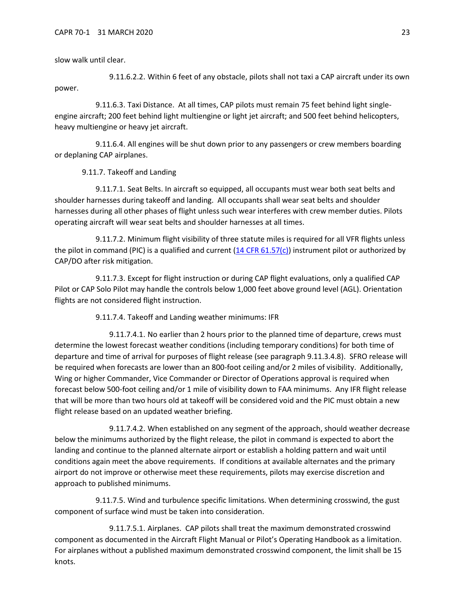slow walk until clear.

9.11.6.2.2. Within 6 feet of any obstacle, pilots shall not taxi a CAP aircraft under its own power.

9.11.6.3. Taxi Distance. At all times, CAP pilots must remain 75 feet behind light singleengine aircraft; 200 feet behind light multiengine or light jet aircraft; and 500 feet behind helicopters, heavy multiengine or heavy jet aircraft.

9.11.6.4. All engines will be shut down prior to any passengers or crew members boarding or deplaning CAP airplanes.

9.11.7. Takeoff and Landing

9.11.7.1. Seat Belts. In aircraft so equipped, all occupants must wear both seat belts and shoulder harnesses during takeoff and landing. All occupants shall wear seat belts and shoulder harnesses during all other phases of flight unless such wear interferes with crew member duties. Pilots operating aircraft will wear seat belts and shoulder harnesses at all times.

9.11.7.2. Minimum flight visibility of three statute miles is required for all VFR flights unless the pilot in command (PIC) is a qualified and current [\(14 CFR 61.57\(c\)\)](https://www.ecfr.gov/cgi-bin/text-idx?SID=3f7f7a8c1918e3ff9b94c332fea614e7&mc=true&node=se14.2.61_157&rgn=div8) instrument pilot or authorized by CAP/DO after risk mitigation.

9.11.7.3. Except for flight instruction or during CAP flight evaluations, only a qualified CAP Pilot or CAP Solo Pilot may handle the controls below 1,000 feet above ground level (AGL). Orientation flights are not considered flight instruction.

9.11.7.4. Takeoff and Landing weather minimums: IFR

9.11.7.4.1. No earlier than 2 hours prior to the planned time of departure, crews must determine the lowest forecast weather conditions (including temporary conditions) for both time of departure and time of arrival for purposes of flight release (see paragraph [9.11.3.4.8\)](#page-20-0). SFRO release will be required when forecasts are lower than an 800-foot ceiling and/or 2 miles of visibility. Additionally, Wing or higher Commander, Vice Commander or Director of Operations approval is required when forecast below 500-foot ceiling and/or 1 mile of visibility down to FAA minimums. Any IFR flight release that will be more than two hours old at takeoff will be considered void and the PIC must obtain a new flight release based on an updated weather briefing.

9.11.7.4.2. When established on any segment of the approach, should weather decrease below the minimums authorized by the flight release, the pilot in command is expected to abort the landing and continue to the planned alternate airport or establish a holding pattern and wait until conditions again meet the above requirements. If conditions at available alternates and the primary airport do not improve or otherwise meet these requirements, pilots may exercise discretion and approach to published minimums.

9.11.7.5. Wind and turbulence specific limitations. When determining crosswind, the gust component of surface wind must be taken into consideration.

9.11.7.5.1. Airplanes. CAP pilots shall treat the maximum demonstrated crosswind component as documented in the Aircraft Flight Manual or Pilot's Operating Handbook as a limitation. For airplanes without a published maximum demonstrated crosswind component, the limit shall be 15 knots.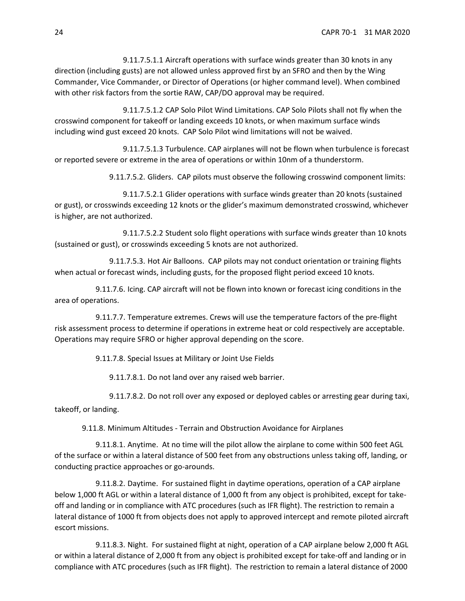9.11.7.5.1.1 Aircraft operations with surface winds greater than 30 knots in any direction (including gusts) are not allowed unless approved first by an SFRO and then by the Wing Commander, Vice Commander, or Director of Operations (or higher command level). When combined with other risk factors from the sortie RAW, CAP/DO approval may be required.

9.11.7.5.1.2 CAP Solo Pilot Wind Limitations. CAP Solo Pilots shall not fly when the crosswind component for takeoff or landing exceeds 10 knots, or when maximum surface winds including wind gust exceed 20 knots. CAP Solo Pilot wind limitations will not be waived.

9.11.7.5.1.3 Turbulence. CAP airplanes will not be flown when turbulence is forecast or reported severe or extreme in the area of operations or within 10nm of a thunderstorm.

9.11.7.5.2. Gliders. CAP pilots must observe the following crosswind component limits:

9.11.7.5.2.1 Glider operations with surface winds greater than 20 knots (sustained or gust), or crosswinds exceeding 12 knots or the glider's maximum demonstrated crosswind, whichever is higher, are not authorized.

9.11.7.5.2.2 Student solo flight operations with surface winds greater than 10 knots (sustained or gust), or crosswinds exceeding 5 knots are not authorized.

9.11.7.5.3. Hot Air Balloons. CAP pilots may not conduct orientation or training flights when actual or forecast winds, including gusts, for the proposed flight period exceed 10 knots.

9.11.7.6. Icing. CAP aircraft will not be flown into known or forecast icing conditions in the area of operations.

9.11.7.7. Temperature extremes. Crews will use the temperature factors of the pre-flight risk assessment process to determine if operations in extreme heat or cold respectively are acceptable. Operations may require SFRO or higher approval depending on the score.

9.11.7.8. Special Issues at Military or Joint Use Fields

9.11.7.8.1. Do not land over any raised web barrier.

9.11.7.8.2. Do not roll over any exposed or deployed cables or arresting gear during taxi, takeoff, or landing.

9.11.8. Minimum Altitudes - Terrain and Obstruction Avoidance for Airplanes

9.11.8.1. Anytime. At no time will the pilot allow the airplane to come within 500 feet AGL of the surface or within a lateral distance of 500 feet from any obstructions unless taking off, landing, or conducting practice approaches or go-arounds.

9.11.8.2. Daytime. For sustained flight in daytime operations, operation of a CAP airplane below 1,000 ft AGL or within a lateral distance of 1,000 ft from any object is prohibited, except for takeoff and landing or in compliance with ATC procedures (such as IFR flight). The restriction to remain a lateral distance of 1000 ft from objects does not apply to approved intercept and remote piloted aircraft escort missions.

9.11.8.3. Night. For sustained flight at night, operation of a CAP airplane below 2,000 ft AGL or within a lateral distance of 2,000 ft from any object is prohibited except for take-off and landing or in compliance with ATC procedures (such as IFR flight). The restriction to remain a lateral distance of 2000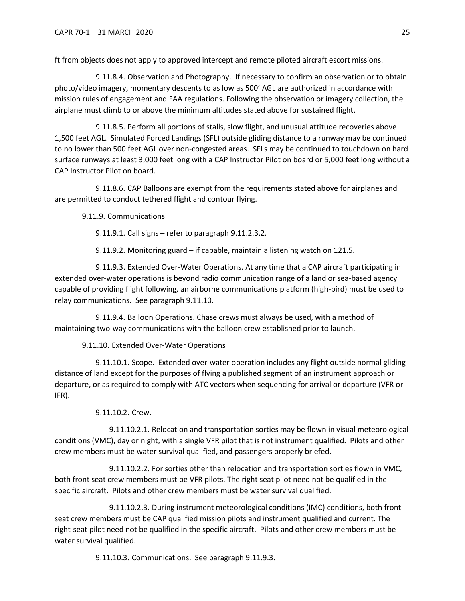ft from objects does not apply to approved intercept and remote piloted aircraft escort missions.

9.11.8.4. Observation and Photography. If necessary to confirm an observation or to obtain photo/video imagery, momentary descents to as low as 500' AGL are authorized in accordance with mission rules of engagement and FAA regulations. Following the observation or imagery collection, the airplane must climb to or above the minimum altitudes stated above for sustained flight.

9.11.8.5. Perform all portions of stalls, slow flight, and unusual attitude recoveries above 1,500 feet AGL. Simulated Forced Landings (SFL) outside gliding distance to a runway may be continued to no lower than 500 feet AGL over non-congested areas. SFLs may be continued to touchdown on hard surface runways at least 3,000 feet long with a CAP Instructor Pilot on board or 5,000 feet long without a CAP Instructor Pilot on board.

9.11.8.6. CAP Balloons are exempt from the requirements stated above for airplanes and are permitted to conduct tethered flight and contour flying.

9.11.9. Communications

9.11.9.1. Call signs – refer to paragraph [9.11.2.3.2.](#page-18-1)

9.11.9.2. Monitoring guard – if capable, maintain a listening watch on 121.5.

<span id="page-24-1"></span>9.11.9.3. Extended Over-Water Operations. At any time that a CAP aircraft participating in extended over-water operations is beyond radio communication range of a land or sea-based agency capable of providing flight following, an airborne communications platform (high-bird) must be used to relay communications. See paragraph [9.11.10.](#page-24-0)

9.11.9.4. Balloon Operations. Chase crews must always be used, with a method of maintaining two-way communications with the balloon crew established prior to launch.

9.11.10. Extended Over-Water Operations

<span id="page-24-0"></span>9.11.10.1. Scope. Extended over-water operation includes any flight outside normal gliding distance of land except for the purposes of flying a published segment of an instrument approach or departure, or as required to comply with ATC vectors when sequencing for arrival or departure (VFR or IFR).

9.11.10.2. Crew.

9.11.10.2.1. Relocation and transportation sorties may be flown in visual meteorological conditions (VMC), day or night, with a single VFR pilot that is not instrument qualified. Pilots and other crew members must be water survival qualified, and passengers properly briefed.

9.11.10.2.2. For sorties other than relocation and transportation sorties flown in VMC, both front seat crew members must be VFR pilots. The right seat pilot need not be qualified in the specific aircraft. Pilots and other crew members must be water survival qualified.

9.11.10.2.3. During instrument meteorological conditions (IMC) conditions, both frontseat crew members must be CAP qualified mission pilots and instrument qualified and current. The right-seat pilot need not be qualified in the specific aircraft. Pilots and other crew members must be water survival qualified.

9.11.10.3. Communications. See paragraph [9.11.9.3.](#page-24-1)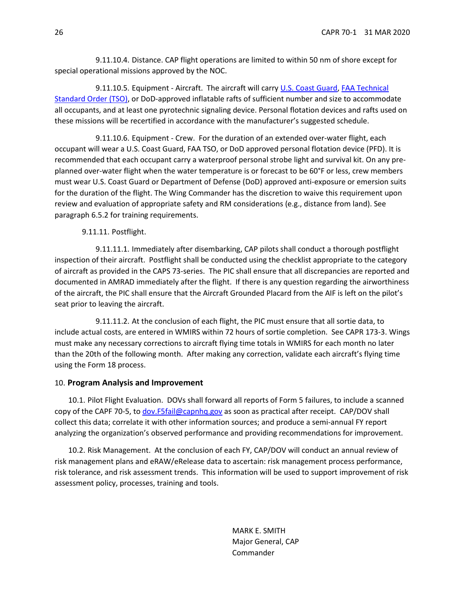9.11.10.4. Distance. CAP flight operations are limited to within 50 nm of shore except for special operational missions approved by the NOC.

9.11.10.5. Equipment - Aircraft. The aircraft will carry [U.S. Coast Guard,](https://cgmix.uscg.mil/Equipment/EquipmentSearch.aspx) [FAA Technical](http://rgl.faa.gov/Regulatory_and_Guidance_Library/rgTSO.nsf/0/84b4dc2ae7da214486256dc100570992/$FILE/C70a.pdf)  [Standard Order \(TSO\),](http://rgl.faa.gov/Regulatory_and_Guidance_Library/rgTSO.nsf/0/84b4dc2ae7da214486256dc100570992/$FILE/C70a.pdf) or DoD-approved inflatable rafts of sufficient number and size to accommodate all occupants, and at least one pyrotechnic signaling device. Personal flotation devices and rafts used on these missions will be recertified in accordance with the manufacturer's suggested schedule.

9.11.10.6. Equipment - Crew. For the duration of an extended over-water flight, each occupant will wear a U.S. Coast Guard, FAA TSO, or DoD approved personal flotation device (PFD). It is recommended that each occupant carry a waterproof personal strobe light and survival kit. On any preplanned over-water flight when the water temperature is or forecast to be 60°F or less, crew members must wear U.S. Coast Guard or Department of Defense (DoD) approved anti-exposure or emersion suits for the duration of the flight. The Wing Commander has the discretion to waive this requirement upon review and evaluation of appropriate safety and RM considerations (e.g., distance from land). See paragraph [6.5.2](#page-6-0) for training requirements.

9.11.11. Postflight.

9.11.11.1. Immediately after disembarking, CAP pilots shall conduct a thorough postflight inspection of their aircraft. Postflight shall be conducted using the checklist appropriate to the category of aircraft as provided in the CAPS 73-series. The PIC shall ensure that all discrepancies are reported and documented in AMRAD immediately after the flight. If there is any question regarding the airworthiness of the aircraft, the PIC shall ensure that the Aircraft Grounded Placard from the AIF is left on the pilot's seat prior to leaving the aircraft.

<span id="page-25-1"></span>9.11.11.2. At the conclusion of each flight, the PIC must ensure that all sortie data, to include actual costs, are entered in WMIRS within 72 hours of sortie completion. See CAPR 173-3. Wings must make any necessary corrections to aircraft flying time totals in WMIRS for each month no later than the 20th of the following month. After making any correction, validate each aircraft's flying time using the Form 18 process.

#### <span id="page-25-0"></span>10. **Program Analysis and Improvement**

10.1. Pilot Flight Evaluation. DOVs shall forward all reports of Form 5 failures, to include a scanned copy of the CAPF 70-5, to [dov.F5fail@capnhq.gov](mailto:dov.F5fail@capnhq.gov) as soon as practical after receipt. CAP/DOV shall collect this data; correlate it with other information sources; and produce a semi-annual FY report analyzing the organization's observed performance and providing recommendations for improvement.

10.2. Risk Management. At the conclusion of each FY, CAP/DOV will conduct an annual review of risk management plans and eRAW/eRelease data to ascertain: risk management process performance, risk tolerance, and risk assessment trends. This information will be used to support improvement of risk assessment policy, processes, training and tools.

> MARK E. SMITH Major General, CAP Commander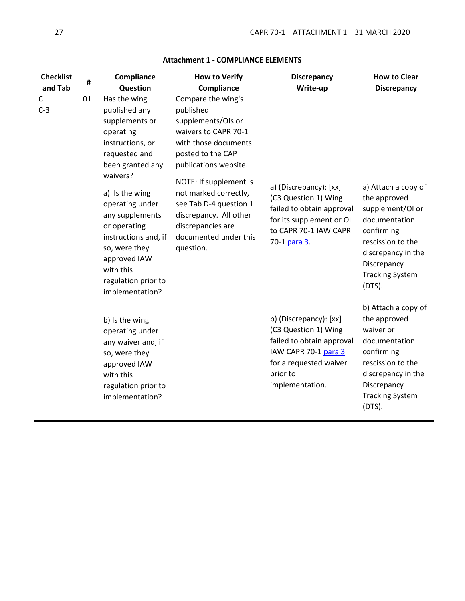<span id="page-26-0"></span>

| <b>Checklist</b><br>and Tab | #  | Compliance<br>Question                                                                                                                                                                                                                                                                                                    | <b>How to Verify</b><br>Compliance                                                                                                                                                                                                                                                                                    | <b>Discrepancy</b><br>Write-up                                                                                                                               | <b>How to Clear</b><br><b>Discrepancy</b>                                                                                                                                               |
|-----------------------------|----|---------------------------------------------------------------------------------------------------------------------------------------------------------------------------------------------------------------------------------------------------------------------------------------------------------------------------|-----------------------------------------------------------------------------------------------------------------------------------------------------------------------------------------------------------------------------------------------------------------------------------------------------------------------|--------------------------------------------------------------------------------------------------------------------------------------------------------------|-----------------------------------------------------------------------------------------------------------------------------------------------------------------------------------------|
| CI<br>$C-3$                 | 01 | Has the wing<br>published any<br>supplements or<br>operating<br>instructions, or<br>requested and<br>been granted any<br>waivers?<br>a) Is the wing<br>operating under<br>any supplements<br>or operating<br>instructions and, if<br>so, were they<br>approved IAW<br>with this<br>regulation prior to<br>implementation? | Compare the wing's<br>published<br>supplements/OIs or<br>waivers to CAPR 70-1<br>with those documents<br>posted to the CAP<br>publications website.<br>NOTE: If supplement is<br>not marked correctly,<br>see Tab D-4 question 1<br>discrepancy. All other<br>discrepancies are<br>documented under this<br>question. | a) (Discrepancy): [xx]<br>(C3 Question 1) Wing<br>failed to obtain approval<br>for its supplement or OI<br>to CAPR 70-1 IAW CAPR<br>70-1 para 3.             | a) Attach a copy of<br>the approved<br>supplement/OI or<br>documentation<br>confirming<br>rescission to the<br>discrepancy in the<br>Discrepancy<br><b>Tracking System</b><br>$(DTS)$ . |
|                             |    | b) Is the wing<br>operating under<br>any waiver and, if<br>so, were they<br>approved IAW<br>with this<br>regulation prior to<br>implementation?                                                                                                                                                                           |                                                                                                                                                                                                                                                                                                                       | b) (Discrepancy): [xx]<br>(C3 Question 1) Wing<br>failed to obtain approval<br>IAW CAPR 70-1 para 3<br>for a requested waiver<br>prior to<br>implementation. | b) Attach a copy of<br>the approved<br>waiver or<br>documentation<br>confirming<br>rescission to the<br>discrepancy in the<br>Discrepancy<br><b>Tracking System</b><br>(DTS).           |

# **Attachment 1 - COMPLIANCE ELEMENTS**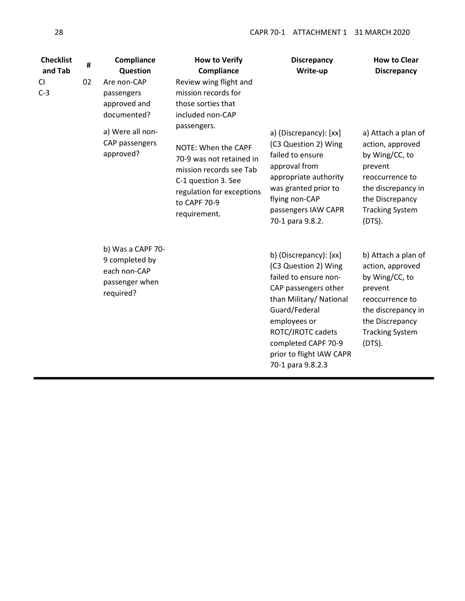| <b>Checklist</b><br>and Tab<br>CI.<br>$C-3$ | #<br>02 | Compliance<br>Question<br>Are non-CAP<br>passengers<br>approved and<br>documented? | <b>How to Verify</b><br>Compliance<br>Review wing flight and<br>mission records for<br>those sorties that<br>included non-CAP                                                 | <b>Discrepancy</b><br>Write-up                                                                                                                                                                                                                           | <b>How to Clear</b><br><b>Discrepancy</b>                                                                                                                               |
|---------------------------------------------|---------|------------------------------------------------------------------------------------|-------------------------------------------------------------------------------------------------------------------------------------------------------------------------------|----------------------------------------------------------------------------------------------------------------------------------------------------------------------------------------------------------------------------------------------------------|-------------------------------------------------------------------------------------------------------------------------------------------------------------------------|
|                                             |         | a) Were all non-<br>CAP passengers<br>approved?                                    | passengers.<br>NOTE: When the CAPF<br>70-9 was not retained in<br>mission records see Tab<br>C-1 question 3. See<br>regulation for exceptions<br>to CAPF 70-9<br>requirement. | a) (Discrepancy): [xx]<br>(C3 Question 2) Wing<br>failed to ensure<br>approval from<br>appropriate authority<br>was granted prior to<br>flying non-CAP<br>passengers IAW CAPR<br>70-1 para 9.8.2.                                                        | a) Attach a plan of<br>action, approved<br>by Wing/CC, to<br>prevent<br>reoccurrence to<br>the discrepancy in<br>the Discrepancy<br><b>Tracking System</b><br>$(DTS)$ . |
|                                             |         | b) Was a CAPF 70-<br>9 completed by<br>each non-CAP<br>passenger when<br>required? |                                                                                                                                                                               | b) (Discrepancy): [xx]<br>(C3 Question 2) Wing<br>failed to ensure non-<br>CAP passengers other<br>than Military/ National<br>Guard/Federal<br>employees or<br>ROTC/JROTC cadets<br>completed CAPF 70-9<br>prior to flight IAW CAPR<br>70-1 para 9.8.2.3 | b) Attach a plan of<br>action, approved<br>by Wing/CC, to<br>prevent<br>reoccurrence to<br>the discrepancy in<br>the Discrepancy<br><b>Tracking System</b><br>$(DTS)$ . |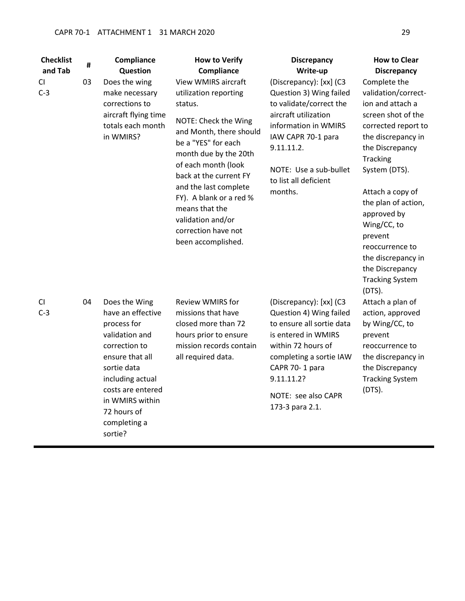sortie?

| <b>Checklist</b> | #  | Compliance                                                                                                                                                                                                        | <b>How to Verify</b>                                                                                                                                                                                                                                                                                                                                       | <b>Discrepancy</b>                                                                                                                                                                                                                | <b>How to Clear</b>                                                                                                                                                                                                                                                                                                                                            |
|------------------|----|-------------------------------------------------------------------------------------------------------------------------------------------------------------------------------------------------------------------|------------------------------------------------------------------------------------------------------------------------------------------------------------------------------------------------------------------------------------------------------------------------------------------------------------------------------------------------------------|-----------------------------------------------------------------------------------------------------------------------------------------------------------------------------------------------------------------------------------|----------------------------------------------------------------------------------------------------------------------------------------------------------------------------------------------------------------------------------------------------------------------------------------------------------------------------------------------------------------|
| and Tab          |    | Question                                                                                                                                                                                                          | Compliance                                                                                                                                                                                                                                                                                                                                                 | Write-up                                                                                                                                                                                                                          | <b>Discrepancy</b>                                                                                                                                                                                                                                                                                                                                             |
| CI<br>$C-3$      | 03 | Does the wing<br>make necessary<br>corrections to<br>aircraft flying time<br>totals each month<br>in WMIRS?                                                                                                       | <b>View WMIRS aircraft</b><br>utilization reporting<br>status.<br>NOTE: Check the Wing<br>and Month, there should<br>be a "YES" for each<br>month due by the 20th<br>of each month (look<br>back at the current FY<br>and the last complete<br>FY). A blank or a red %<br>means that the<br>validation and/or<br>correction have not<br>been accomplished. | (Discrepancy): [xx] (C3<br>Question 3) Wing failed<br>to validate/correct the<br>aircraft utilization<br>information in WMIRS<br>IAW CAPR 70-1 para<br>9.11.11.2.<br>NOTE: Use a sub-bullet<br>to list all deficient<br>months.   | Complete the<br>validation/correct-<br>ion and attach a<br>screen shot of the<br>corrected report to<br>the discrepancy in<br>the Discrepancy<br>Tracking<br>System (DTS).<br>Attach a copy of<br>the plan of action,<br>approved by<br>Wing/CC, to<br>prevent<br>reoccurrence to<br>the discrepancy in<br>the Discrepancy<br><b>Tracking System</b><br>(DTS). |
| CI<br>$C-3$      | 04 | Does the Wing<br>have an effective<br>process for<br>validation and<br>correction to<br>ensure that all<br>sortie data<br>including actual<br>costs are entered<br>in WMIRS within<br>72 hours of<br>completing a | <b>Review WMIRS for</b><br>missions that have<br>closed more than 72<br>hours prior to ensure<br>mission records contain<br>all required data.                                                                                                                                                                                                             | (Discrepancy): [xx] (C3<br>Question 4) Wing failed<br>to ensure all sortie data<br>is entered in WMIRS<br>within 72 hours of<br>completing a sortie IAW<br>CAPR 70-1 para<br>9.11.11.2?<br>NOTE: see also CAPR<br>173-3 para 2.1. | Attach a plan of<br>action, approved<br>by Wing/CC, to<br>prevent<br>reoccurrence to<br>the discrepancy in<br>the Discrepancy<br><b>Tracking System</b><br>(DTS).                                                                                                                                                                                              |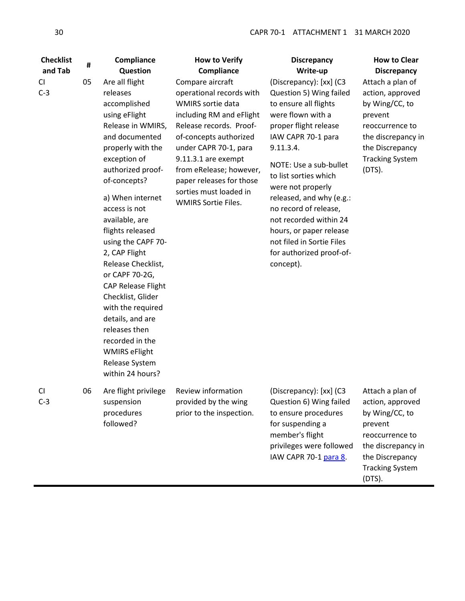| <b>Checklist</b><br>and Tab | #  | Compliance<br>Question                                                                                                                                                                                                                                                                                                                                                                                                                                                                                                              | <b>How to Verify</b><br>Compliance                                                                                                                                                                                                                                                                                | <b>Discrepancy</b><br>Write-up                                                                                                                                                                                                                                                                                                                                                                                       | <b>How to Clear</b><br><b>Discrepancy</b>                                                                                                                            |
|-----------------------------|----|-------------------------------------------------------------------------------------------------------------------------------------------------------------------------------------------------------------------------------------------------------------------------------------------------------------------------------------------------------------------------------------------------------------------------------------------------------------------------------------------------------------------------------------|-------------------------------------------------------------------------------------------------------------------------------------------------------------------------------------------------------------------------------------------------------------------------------------------------------------------|----------------------------------------------------------------------------------------------------------------------------------------------------------------------------------------------------------------------------------------------------------------------------------------------------------------------------------------------------------------------------------------------------------------------|----------------------------------------------------------------------------------------------------------------------------------------------------------------------|
| <b>CI</b><br>$C-3$          | 05 | Are all flight<br>releases<br>accomplished<br>using eFlight<br>Release in WMIRS,<br>and documented<br>properly with the<br>exception of<br>authorized proof-<br>of-concepts?<br>a) When internet<br>access is not<br>available, are<br>flights released<br>using the CAPF 70-<br>2, CAP Flight<br>Release Checklist,<br>or CAPF 70-2G,<br><b>CAP Release Flight</b><br>Checklist, Glider<br>with the required<br>details, and are<br>releases then<br>recorded in the<br><b>WMIRS eFlight</b><br>Release System<br>within 24 hours? | Compare aircraft<br>operational records with<br>WMIRS sortie data<br>including RM and eFlight<br>Release records. Proof-<br>of-concepts authorized<br>under CAPR 70-1, para<br>9.11.3.1 are exempt<br>from eRelease; however,<br>paper releases for those<br>sorties must loaded in<br><b>WMIRS Sortie Files.</b> | (Discrepancy): [xx] (C3<br>Question 5) Wing failed<br>to ensure all flights<br>were flown with a<br>proper flight release<br>IAW CAPR 70-1 para<br>9.11.3.4.<br>NOTE: Use a sub-bullet<br>to list sorties which<br>were not properly<br>released, and why (e.g.:<br>no record of release,<br>not recorded within 24<br>hours, or paper release<br>not filed in Sortie Files<br>for authorized proof-of-<br>concept). | Attach a plan of<br>action, approved<br>by Wing/CC, to<br>prevent<br>reoccurrence to<br>the discrepancy in<br>the Discrepancy<br><b>Tracking System</b><br>$(DTS)$ . |
| CI.<br>$C-3$                | 06 | Are flight privilege<br>suspension<br>procedures<br>followed?                                                                                                                                                                                                                                                                                                                                                                                                                                                                       | Review information<br>provided by the wing<br>prior to the inspection.                                                                                                                                                                                                                                            | (Discrepancy): [xx] (C3<br>Question 6) Wing failed<br>to ensure procedures<br>for suspending a<br>member's flight<br>privileges were followed<br>IAW CAPR 70-1 para 8.                                                                                                                                                                                                                                               | Attach a plan of<br>action, approved<br>by Wing/CC, to<br>prevent<br>reoccurrence to<br>the discrepancy in<br>the Discrepancy<br><b>Tracking System</b><br>(DTS).    |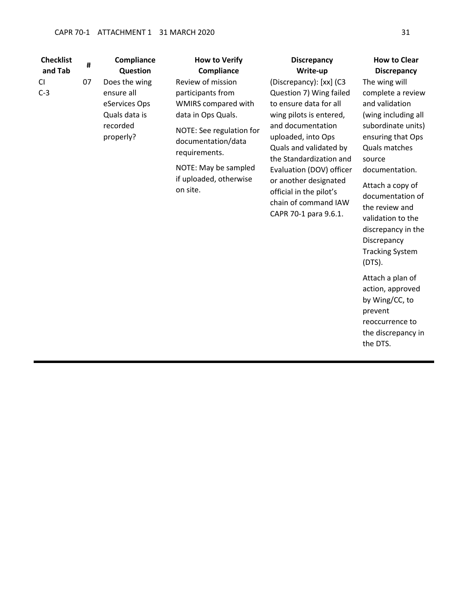# CAPR 70-1 ATTACHMENT 1 31 MARCH 2020 31

| <b>Checklist</b> | #  | Compliance            | <b>How to Verify</b>                           | <b>Discrepancy</b>                                | <b>How to Clear</b>                     |
|------------------|----|-----------------------|------------------------------------------------|---------------------------------------------------|-----------------------------------------|
| and Tab          |    | Question              | Compliance                                     | Write-up                                          | <b>Discrepancy</b>                      |
| CI.              | 07 | Does the wing         | Review of mission                              | (Discrepancy): [xx] (C3                           | The wing will                           |
| $C-3$            |    | ensure all            | participants from                              | Question 7) Wing failed                           | complete a review                       |
|                  |    | eServices Ops         | WMIRS compared with                            | to ensure data for all                            | and validation                          |
|                  |    | Quals data is         | data in Ops Quals.                             | wing pilots is entered,                           | (wing including all                     |
|                  |    | recorded<br>properly? | NOTE: See regulation for<br>documentation/data | and documentation<br>uploaded, into Ops           | subordinate units)<br>ensuring that Ops |
|                  |    |                       | requirements.                                  | Quals and validated by<br>the Standardization and | Quals matches<br>source                 |
|                  |    |                       | NOTE: May be sampled<br>if uploaded, otherwise | Evaluation (DOV) officer<br>or another designated | documentation.                          |
|                  |    |                       | on site.                                       | official in the pilot's                           | Attach a copy of                        |
|                  |    |                       |                                                | chain of command IAW                              | documentation of<br>the review and      |
|                  |    |                       |                                                | CAPR 70-1 para 9.6.1.                             | validation to the                       |
|                  |    |                       |                                                |                                                   | discrepancy in the                      |
|                  |    |                       |                                                |                                                   | Discrepancy                             |
|                  |    |                       |                                                |                                                   | <b>Tracking System</b><br>$(DTS)$ .     |
|                  |    |                       |                                                |                                                   | Attach a plan of                        |
|                  |    |                       |                                                |                                                   | action, approved                        |
|                  |    |                       |                                                |                                                   | by Wing/CC, to                          |
|                  |    |                       |                                                |                                                   | prevent<br>reoccurrence to              |
|                  |    |                       |                                                |                                                   | the discrepancy in                      |
|                  |    |                       |                                                |                                                   | the DTS.                                |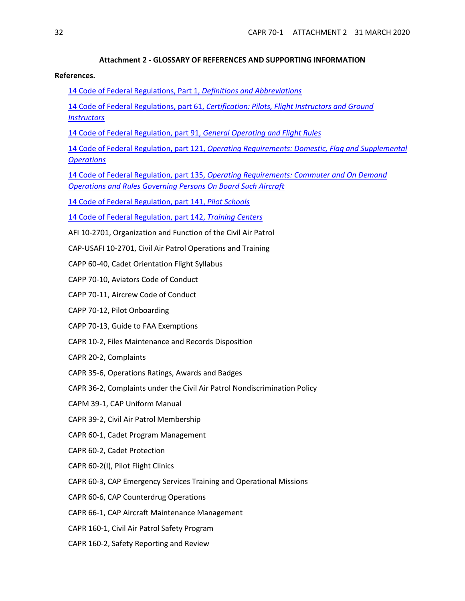#### **Attachment 2 - GLOSSARY OF REFERENCES AND SUPPORTING INFORMATION**

## <span id="page-31-0"></span>**References.**

- [14 Code of Federal Regulations, Part 1,](http://www.ecfr.gov/cgi-bin/text-idx?SID=24237543f4d6072b2facb5b1dca374c1&mc=true&node=pt14.1.1&rgn=div5) *Definitions and Abbreviations*
- [14 Code of Federal Regulations, part 61,](http://www.ecfr.gov/cgi-bin/text-idx?SID=24237543f4d6072b2facb5b1dca374c1&mc=true&node=pt14.2.61&rgn=div5) *Certification: Pilots, Flight Instructors and Ground Instructors*
- [14 Code of Federal Regulation, part 91,](http://www.ecfr.gov/cgi-bin/text-idx?SID=24237543f4d6072b2facb5b1dca374c1&mc=true&node=pt14.2.91&rgn=div5) *General Operating and Flight Rules*

14 Code of Federal Regulation, part 121, *[Operating Requirements: Domestic, Flag and Supplemental](http://www.ecfr.gov/cgi-bin/text-idx?SID=867ed70a44c5c87faeb23fb58b640500&mc=true&node=pt14.3.121&rgn=div5)  [Operations](http://www.ecfr.gov/cgi-bin/text-idx?SID=867ed70a44c5c87faeb23fb58b640500&mc=true&node=pt14.3.121&rgn=div5)*

14 Code of Federal Regulation, part 135, *[Operating Requirements: Commuter and On Demand](http://www.ecfr.gov/cgi-bin/text-idx?SID=867ed70a44c5c87faeb23fb58b640500&mc=true&node=pt14.3.135&rgn=div5)  [Operations and Rules Governing Persons On Board Such Aircraft](http://www.ecfr.gov/cgi-bin/text-idx?SID=867ed70a44c5c87faeb23fb58b640500&mc=true&node=pt14.3.135&rgn=div5)*

[14 Code of Federal Regulation, part 141,](http://www.ecfr.gov/cgi-bin/text-idx?SID=867ed70a44c5c87faeb23fb58b640500&mc=true&node=pt14.3.141&rgn=div5) *Pilot Schools*

[14 Code of Federal Regulation, part 142,](http://www.ecfr.gov/cgi-bin/text-idx?SID=867ed70a44c5c87faeb23fb58b640500&mc=true&node=pt14.3.142&rgn=div5) *Training Centers*

- AFI 10-2701, Organization and Function of the Civil Air Patrol
- CAP-USAFI 10-2701, Civil Air Patrol Operations and Training
- CAPP 60-40, Cadet Orientation Flight Syllabus
- CAPP 70-10, Aviators Code of Conduct
- CAPP 70-11, Aircrew Code of Conduct
- CAPP 70-12, Pilot Onboarding
- CAPP 70-13, Guide to FAA Exemptions
- CAPR 10-2, Files Maintenance and Records Disposition
- CAPR 20-2, Complaints
- CAPR 35-6, Operations Ratings, Awards and Badges
- CAPR 36-2, Complaints under the Civil Air Patrol Nondiscrimination Policy
- CAPM 39-1, CAP Uniform Manual
- CAPR 39-2, Civil Air Patrol Membership
- CAPR 60-1, Cadet Program Management
- CAPR 60-2, Cadet Protection
- CAPR 60-2(I), Pilot Flight Clinics
- CAPR 60-3, CAP Emergency Services Training and Operational Missions
- CAPR 60-6, CAP Counterdrug Operations
- CAPR 66-1, CAP Aircraft Maintenance Management
- CAPR 160-1, Civil Air Patrol Safety Program
- CAPR 160-2, Safety Reporting and Review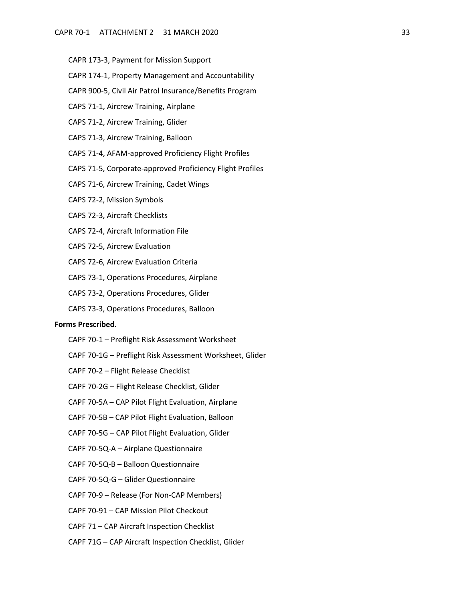- CAPR 173-3, Payment for Mission Support
- CAPR 174-1, Property Management and Accountability
- CAPR 900-5, Civil Air Patrol Insurance/Benefits Program
- CAPS 71-1, Aircrew Training, Airplane
- CAPS 71-2, Aircrew Training, Glider
- CAPS 71-3, Aircrew Training, Balloon
- CAPS 71-4, AFAM-approved Proficiency Flight Profiles
- CAPS 71-5, Corporate-approved Proficiency Flight Profiles
- CAPS 71-6, Aircrew Training, Cadet Wings
- CAPS 72-2, Mission Symbols
- CAPS 72-3, Aircraft Checklists
- CAPS 72-4, Aircraft Information File
- CAPS 72-5, Aircrew Evaluation
- CAPS 72-6, Aircrew Evaluation Criteria
- CAPS 73-1, Operations Procedures, Airplane
- CAPS 73-2, Operations Procedures, Glider
- CAPS 73-3, Operations Procedures, Balloon

## **Forms Prescribed.**

- CAPF 70-1 Preflight Risk Assessment Worksheet
- CAPF 70-1G Preflight Risk Assessment Worksheet, Glider
- CAPF 70-2 Flight Release Checklist
- CAPF 70-2G Flight Release Checklist, Glider
- CAPF 70-5A CAP Pilot Flight Evaluation, Airplane
- CAPF 70-5B CAP Pilot Flight Evaluation, Balloon
- CAPF 70-5G CAP Pilot Flight Evaluation, Glider
- CAPF 70-5Q-A Airplane Questionnaire
- CAPF 70-5Q-B Balloon Questionnaire
- CAPF 70-5Q-G Glider Questionnaire
- CAPF 70-9 Release (For Non-CAP Members)
- CAPF 70-91 CAP Mission Pilot Checkout
- CAPF 71 CAP Aircraft Inspection Checklist
- CAPF 71G CAP Aircraft Inspection Checklist, Glider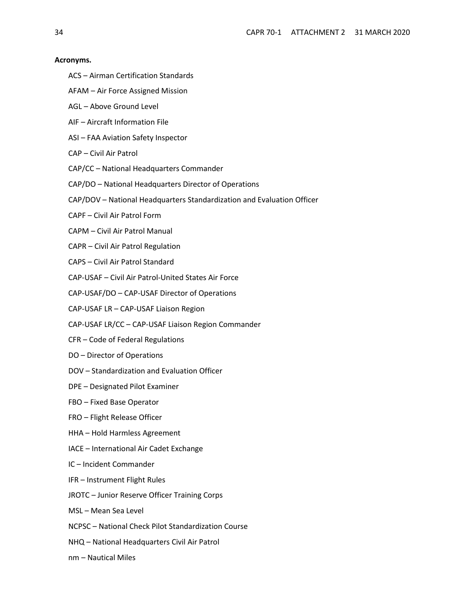#### **Acronyms.**

- ACS Airman Certification Standards
- AFAM Air Force Assigned Mission
- AGL Above Ground Level
- AIF Aircraft Information File
- ASI FAA Aviation Safety Inspector
- CAP Civil Air Patrol
- CAP/CC National Headquarters Commander
- CAP/DO National Headquarters Director of Operations
- CAP/DOV National Headquarters Standardization and Evaluation Officer
- CAPF Civil Air Patrol Form
- CAPM Civil Air Patrol Manual
- CAPR Civil Air Patrol Regulation
- CAPS Civil Air Patrol Standard
- CAP-USAF Civil Air Patrol-United States Air Force
- CAP-USAF/DO CAP-USAF Director of Operations
- CAP-USAF LR CAP-USAF Liaison Region
- CAP-USAF LR/CC CAP-USAF Liaison Region Commander
- CFR Code of Federal Regulations
- DO Director of Operations
- DOV Standardization and Evaluation Officer
- DPE Designated Pilot Examiner
- FBO Fixed Base Operator
- FRO Flight Release Officer
- HHA Hold Harmless Agreement
- IACE International Air Cadet Exchange
- IC Incident Commander
- IFR Instrument Flight Rules
- JROTC Junior Reserve Officer Training Corps
- MSL Mean Sea Level
- NCPSC National Check Pilot Standardization Course
- NHQ National Headquarters Civil Air Patrol
- nm Nautical Miles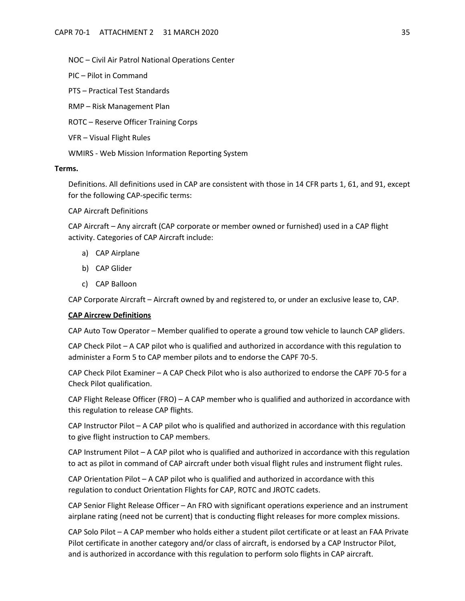NOC – Civil Air Patrol National Operations Center

PIC – Pilot in Command

PTS – Practical Test Standards

RMP – Risk Management Plan

ROTC – Reserve Officer Training Corps

VFR – Visual Flight Rules

WMIRS - Web Mission Information Reporting System

# **Terms.**

Definitions. All definitions used in CAP are consistent with those in 14 CFR parts 1, 61, and 91, except for the following CAP-specific terms:

CAP Aircraft Definitions

CAP Aircraft – Any aircraft (CAP corporate or member owned or furnished) used in a CAP flight activity. Categories of CAP Aircraft include:

- a) CAP Airplane
- b) CAP Glider
- c) CAP Balloon

CAP Corporate Aircraft – Aircraft owned by and registered to, or under an exclusive lease to, CAP.

#### <span id="page-34-0"></span>**CAP Aircrew Definitions**

CAP Auto Tow Operator – Member qualified to operate a ground tow vehicle to launch CAP gliders.

CAP Check Pilot – A CAP pilot who is qualified and authorized in accordance with this regulation to administer a Form 5 to CAP member pilots and to endorse the CAPF 70-5.

CAP Check Pilot Examiner – A CAP Check Pilot who is also authorized to endorse the CAPF 70-5 for a Check Pilot qualification.

CAP Flight Release Officer (FRO) – A CAP member who is qualified and authorized in accordance with this regulation to release CAP flights.

CAP Instructor Pilot – A CAP pilot who is qualified and authorized in accordance with this regulation to give flight instruction to CAP members.

CAP Instrument Pilot – A CAP pilot who is qualified and authorized in accordance with this regulation to act as pilot in command of CAP aircraft under both visual flight rules and instrument flight rules.

CAP Orientation Pilot – A CAP pilot who is qualified and authorized in accordance with this regulation to conduct Orientation Flights for CAP, ROTC and JROTC cadets.

CAP Senior Flight Release Officer – An FRO with significant operations experience and an instrument airplane rating (need not be current) that is conducting flight releases for more complex missions.

CAP Solo Pilot – A CAP member who holds either a student pilot certificate or at least an FAA Private Pilot certificate in another category and/or class of aircraft, is endorsed by a CAP Instructor Pilot, and is authorized in accordance with this regulation to perform solo flights in CAP aircraft.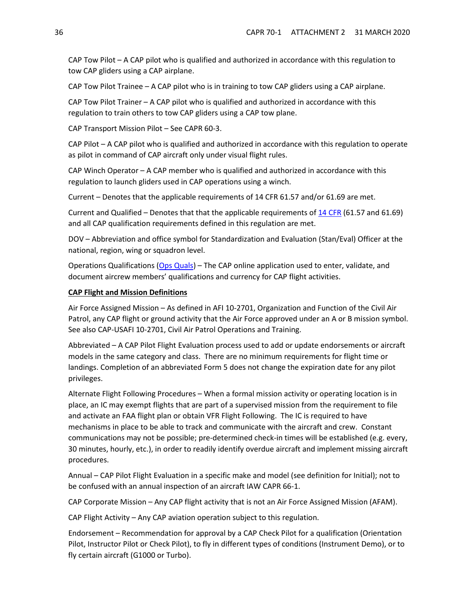CAP Tow Pilot – A CAP pilot who is qualified and authorized in accordance with this regulation to tow CAP gliders using a CAP airplane.

CAP Tow Pilot Trainee – A CAP pilot who is in training to tow CAP gliders using a CAP airplane.

CAP Tow Pilot Trainer – A CAP pilot who is qualified and authorized in accordance with this regulation to train others to tow CAP gliders using a CAP tow plane.

CAP Transport Mission Pilot – See CAPR 60-3.

CAP Pilot – A CAP pilot who is qualified and authorized in accordance with this regulation to operate as pilot in command of CAP aircraft only under visual flight rules.

CAP Winch Operator – A CAP member who is qualified and authorized in accordance with this regulation to launch gliders used in CAP operations using a winch.

Current – Denotes that the applicable requirements of 14 CFR 61.57 and/or 61.69 are met.

Current and Qualified – Denotes that that the applicable requirements of [14 CFR](http://www.ecfr.gov/cgi-bin/text-idx?c=ecfr&tpl=/ecfrbrowse/Title14/14tab_02.tpl) (61.57 and 61.69) and all CAP qualification requirements defined in this regulation are met.

DOV – Abbreviation and office symbol for Standardization and Evaluation (Stan/Eval) Officer at the national, region, wing or squadron level.

Operations Qualifications [\(Ops Quals\)](https://www.capnhq.gov/CAP.OPSQuals.Web/Default.aspx) – The CAP online application used to enter, validate, and document aircrew members' qualifications and currency for CAP flight activities.

#### **CAP Flight and Mission Definitions**

Air Force Assigned Mission – As defined in AFI 10-2701, Organization and Function of the Civil Air Patrol, any CAP flight or ground activity that the Air Force approved under an A or B mission symbol. See also CAP-USAFI 10-2701, Civil Air Patrol Operations and Training.

Abbreviated – A CAP Pilot Flight Evaluation process used to add or update endorsements or aircraft models in the same category and class. There are no minimum requirements for flight time or landings. Completion of an abbreviated Form 5 does not change the expiration date for any pilot privileges.

Alternate Flight Following Procedures – When a formal mission activity or operating location is in place, an IC may exempt flights that are part of a supervised mission from the requirement to file and activate an FAA flight plan or obtain VFR Flight Following. The IC is required to have mechanisms in place to be able to track and communicate with the aircraft and crew. Constant communications may not be possible; pre-determined check-in times will be established (e.g. every, 30 minutes, hourly, etc.), in order to readily identify overdue aircraft and implement missing aircraft procedures.

Annual – CAP Pilot Flight Evaluation in a specific make and model (see definition for Initial); not to be confused with an annual inspection of an aircraft IAW CAPR 66-1.

CAP Corporate Mission – Any CAP flight activity that is not an Air Force Assigned Mission (AFAM).

CAP Flight Activity – Any CAP aviation operation subject to this regulation.

Endorsement – Recommendation for approval by a CAP Check Pilot for a qualification (Orientation Pilot, Instructor Pilot or Check Pilot), to fly in different types of conditions (Instrument Demo), or to fly certain aircraft (G1000 or Turbo).